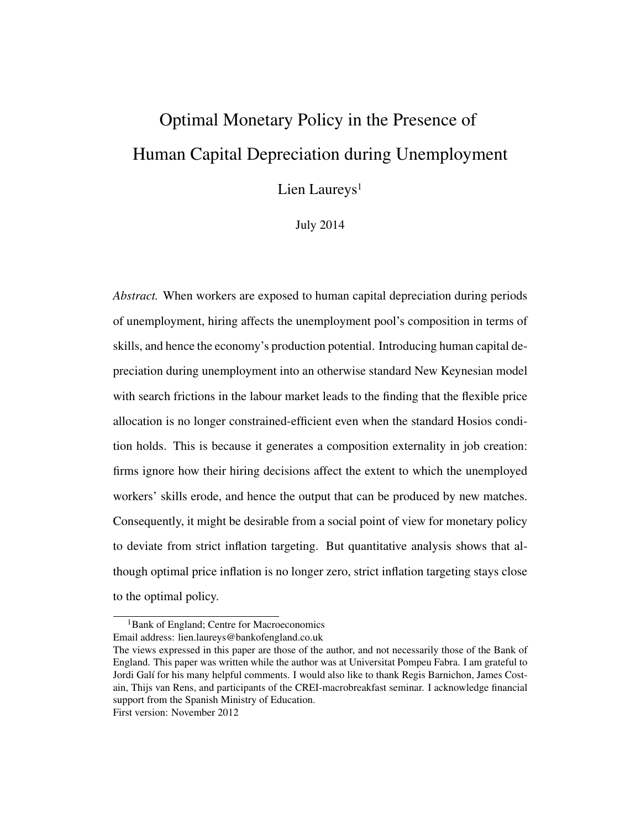# Optimal Monetary Policy in the Presence of Human Capital Depreciation during Unemployment

Lien Laureys<sup>1</sup>

July 2014

*Abstract.* When workers are exposed to human capital depreciation during periods of unemployment, hiring affects the unemployment pool's composition in terms of skills, and hence the economy's production potential. Introducing human capital depreciation during unemployment into an otherwise standard New Keynesian model with search frictions in the labour market leads to the finding that the flexible price allocation is no longer constrained-efficient even when the standard Hosios condition holds. This is because it generates a composition externality in job creation: firms ignore how their hiring decisions affect the extent to which the unemployed workers' skills erode, and hence the output that can be produced by new matches. Consequently, it might be desirable from a social point of view for monetary policy to deviate from strict inflation targeting. But quantitative analysis shows that although optimal price inflation is no longer zero, strict inflation targeting stays close to the optimal policy.

<sup>&</sup>lt;sup>1</sup>Bank of England; Centre for Macroeconomics Email address: lien.laureys@bankofengland.co.uk

The views expressed in this paper are those of the author, and not necessarily those of the Bank of England. This paper was written while the author was at Universitat Pompeu Fabra. I am grateful to Jordi Galí for his many helpful comments. I would also like to thank Regis Barnichon, James Costain, Thijs van Rens, and participants of the CREI-macrobreakfast seminar. I acknowledge financial support from the Spanish Ministry of Education.

First version: November 2012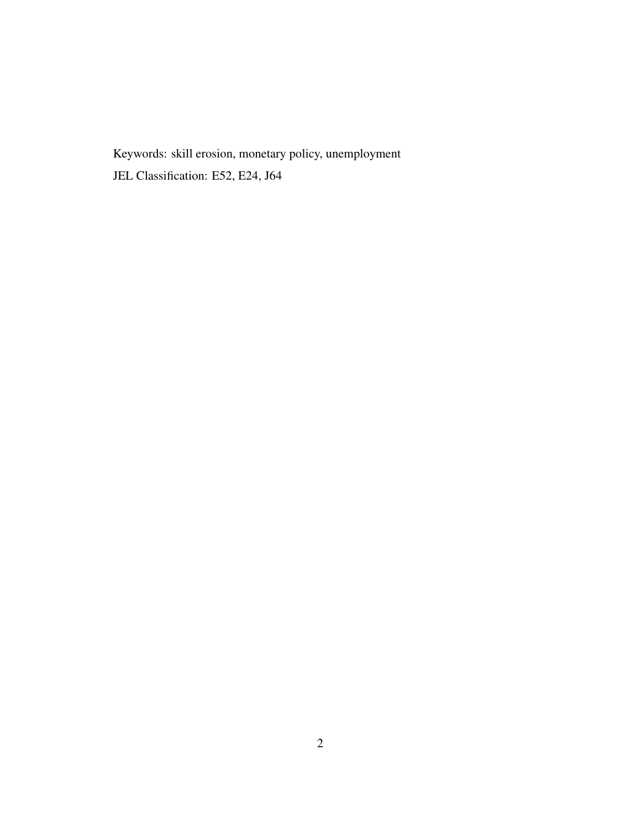Keywords: skill erosion, monetary policy, unemployment JEL Classification: E52, E24, J64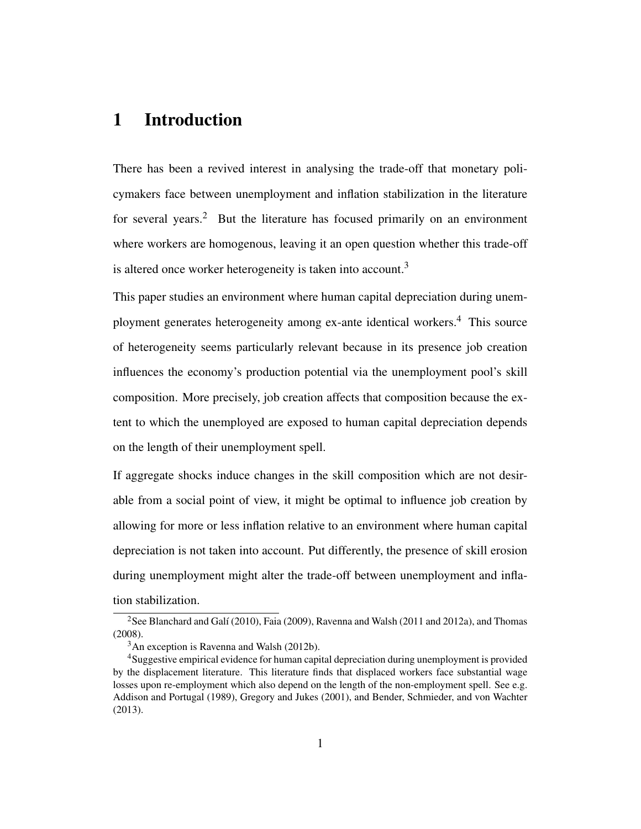# 1 Introduction

There has been a revived interest in analysing the trade-off that monetary policymakers face between unemployment and inflation stabilization in the literature for several years.<sup>2</sup> But the literature has focused primarily on an environment where workers are homogenous, leaving it an open question whether this trade-off is altered once worker heterogeneity is taken into account.<sup>3</sup>

This paper studies an environment where human capital depreciation during unemployment generates heterogeneity among ex-ante identical workers.<sup>4</sup> This source of heterogeneity seems particularly relevant because in its presence job creation influences the economy's production potential via the unemployment pool's skill composition. More precisely, job creation affects that composition because the extent to which the unemployed are exposed to human capital depreciation depends on the length of their unemployment spell.

If aggregate shocks induce changes in the skill composition which are not desirable from a social point of view, it might be optimal to influence job creation by allowing for more or less inflation relative to an environment where human capital depreciation is not taken into account. Put differently, the presence of skill erosion during unemployment might alter the trade-off between unemployment and inflation stabilization.

<sup>&</sup>lt;sup>2</sup>See Blanchard and Galí (2010), Faia (2009), Ravenna and Walsh (2011 and 2012a), and Thomas (2008).

 $3$ An exception is Ravenna and Walsh (2012b).

<sup>4</sup>Suggestive empirical evidence for human capital depreciation during unemployment is provided by the displacement literature. This literature finds that displaced workers face substantial wage losses upon re-employment which also depend on the length of the non-employment spell. See e.g. Addison and Portugal (1989), Gregory and Jukes (2001), and Bender, Schmieder, and von Wachter (2013).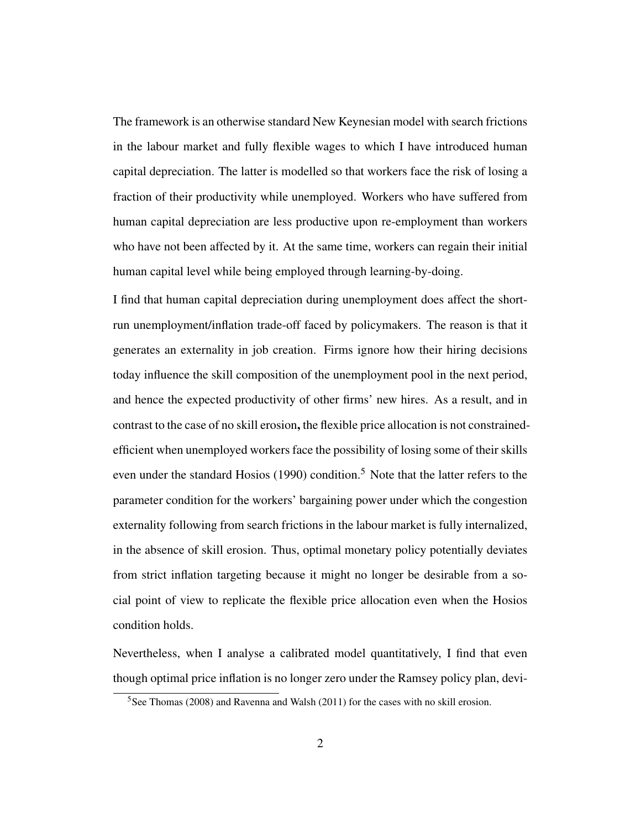The framework is an otherwise standard New Keynesian model with search frictions in the labour market and fully flexible wages to which I have introduced human capital depreciation. The latter is modelled so that workers face the risk of losing a fraction of their productivity while unemployed. Workers who have suffered from human capital depreciation are less productive upon re-employment than workers who have not been affected by it. At the same time, workers can regain their initial human capital level while being employed through learning-by-doing.

I find that human capital depreciation during unemployment does affect the shortrun unemployment/inflation trade-off faced by policymakers. The reason is that it generates an externality in job creation. Firms ignore how their hiring decisions today influence the skill composition of the unemployment pool in the next period, and hence the expected productivity of other firms' new hires. As a result, and in contrast to the case of no skill erosion, the flexible price allocation is not constrainedefficient when unemployed workers face the possibility of losing some of their skills even under the standard Hosios (1990) condition.<sup>5</sup> Note that the latter refers to the parameter condition for the workers' bargaining power under which the congestion externality following from search frictions in the labour market is fully internalized, in the absence of skill erosion. Thus, optimal monetary policy potentially deviates from strict inflation targeting because it might no longer be desirable from a social point of view to replicate the flexible price allocation even when the Hosios condition holds.

Nevertheless, when I analyse a calibrated model quantitatively, I find that even though optimal price inflation is no longer zero under the Ramsey policy plan, devi-

 $5$ See Thomas (2008) and Ravenna and Walsh (2011) for the cases with no skill erosion.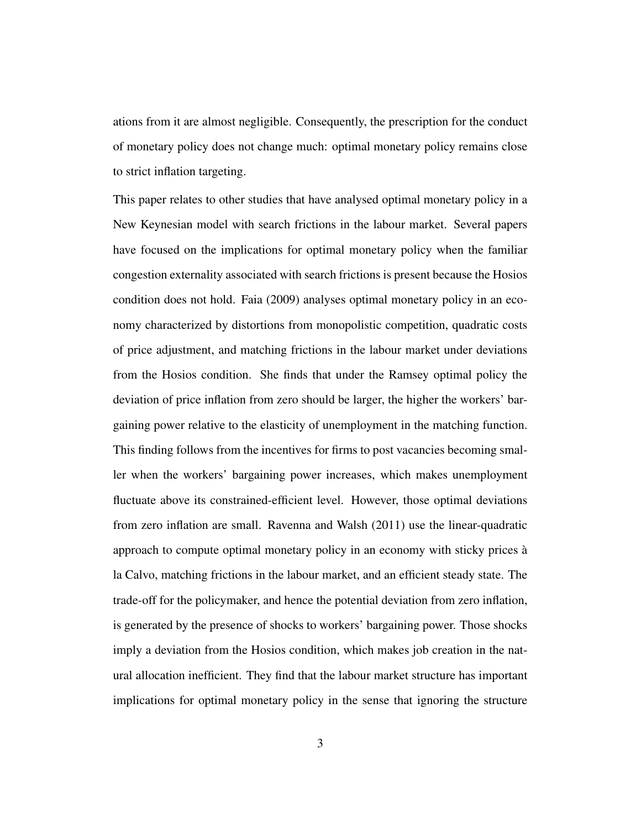ations from it are almost negligible. Consequently, the prescription for the conduct of monetary policy does not change much: optimal monetary policy remains close to strict inflation targeting.

This paper relates to other studies that have analysed optimal monetary policy in a New Keynesian model with search frictions in the labour market. Several papers have focused on the implications for optimal monetary policy when the familiar congestion externality associated with search frictions is present because the Hosios condition does not hold. Faia (2009) analyses optimal monetary policy in an economy characterized by distortions from monopolistic competition, quadratic costs of price adjustment, and matching frictions in the labour market under deviations from the Hosios condition. She finds that under the Ramsey optimal policy the deviation of price inflation from zero should be larger, the higher the workers' bargaining power relative to the elasticity of unemployment in the matching function. This finding follows from the incentives for firms to post vacancies becoming smaller when the workers' bargaining power increases, which makes unemployment fluctuate above its constrained-efficient level. However, those optimal deviations from zero inflation are small. Ravenna and Walsh (2011) use the linear-quadratic approach to compute optimal monetary policy in an economy with sticky prices à la Calvo, matching frictions in the labour market, and an efficient steady state. The trade-off for the policymaker, and hence the potential deviation from zero inflation, is generated by the presence of shocks to workers' bargaining power. Those shocks imply a deviation from the Hosios condition, which makes job creation in the natural allocation inefficient. They find that the labour market structure has important implications for optimal monetary policy in the sense that ignoring the structure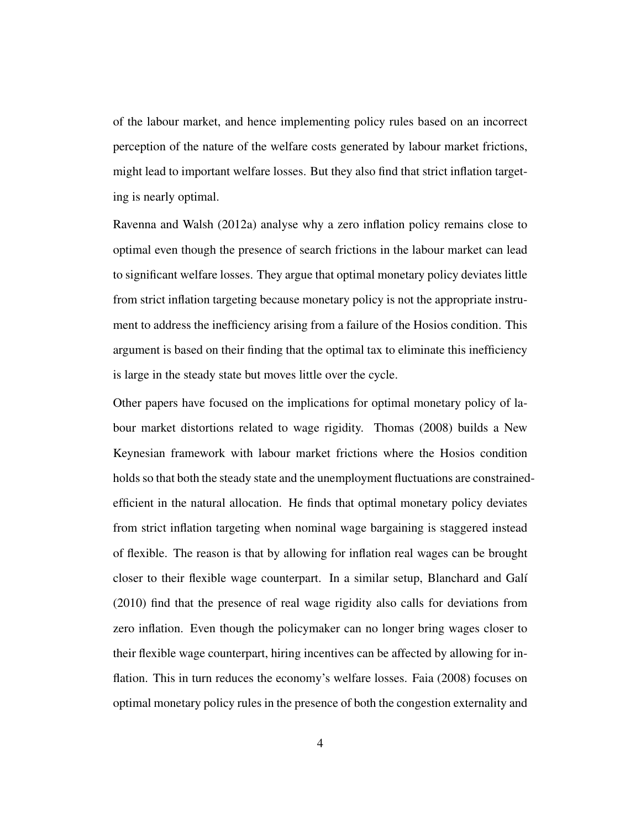of the labour market, and hence implementing policy rules based on an incorrect perception of the nature of the welfare costs generated by labour market frictions, might lead to important welfare losses. But they also find that strict inflation targeting is nearly optimal.

Ravenna and Walsh (2012a) analyse why a zero inflation policy remains close to optimal even though the presence of search frictions in the labour market can lead to significant welfare losses. They argue that optimal monetary policy deviates little from strict inflation targeting because monetary policy is not the appropriate instrument to address the inefficiency arising from a failure of the Hosios condition. This argument is based on their finding that the optimal tax to eliminate this inefficiency is large in the steady state but moves little over the cycle.

Other papers have focused on the implications for optimal monetary policy of labour market distortions related to wage rigidity. Thomas (2008) builds a New Keynesian framework with labour market frictions where the Hosios condition holds so that both the steady state and the unemployment fluctuations are constrainedefficient in the natural allocation. He finds that optimal monetary policy deviates from strict inflation targeting when nominal wage bargaining is staggered instead of flexible. The reason is that by allowing for inflation real wages can be brought closer to their flexible wage counterpart. In a similar setup, Blanchard and Galí (2010) find that the presence of real wage rigidity also calls for deviations from zero inflation. Even though the policymaker can no longer bring wages closer to their flexible wage counterpart, hiring incentives can be affected by allowing for inflation. This in turn reduces the economy's welfare losses. Faia (2008) focuses on optimal monetary policy rules in the presence of both the congestion externality and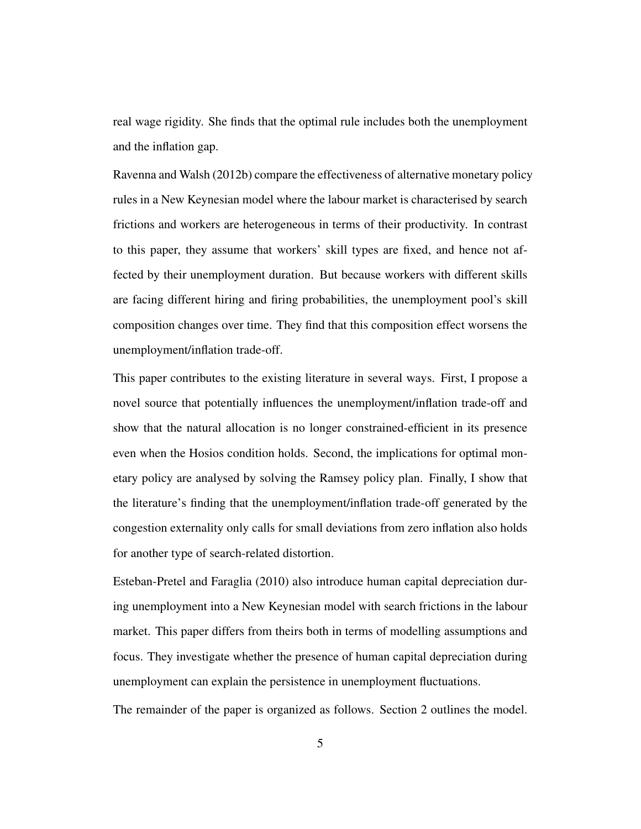real wage rigidity. She finds that the optimal rule includes both the unemployment and the inflation gap.

Ravenna and Walsh (2012b) compare the effectiveness of alternative monetary policy rules in a New Keynesian model where the labour market is characterised by search frictions and workers are heterogeneous in terms of their productivity. In contrast to this paper, they assume that workers' skill types are fixed, and hence not affected by their unemployment duration. But because workers with different skills are facing different hiring and firing probabilities, the unemployment pool's skill composition changes over time. They find that this composition effect worsens the unemployment/inflation trade-off.

This paper contributes to the existing literature in several ways. First, I propose a novel source that potentially influences the unemployment/inflation trade-off and show that the natural allocation is no longer constrained-efficient in its presence even when the Hosios condition holds. Second, the implications for optimal monetary policy are analysed by solving the Ramsey policy plan. Finally, I show that the literature's finding that the unemployment/inflation trade-off generated by the congestion externality only calls for small deviations from zero inflation also holds for another type of search-related distortion.

Esteban-Pretel and Faraglia (2010) also introduce human capital depreciation during unemployment into a New Keynesian model with search frictions in the labour market. This paper differs from theirs both in terms of modelling assumptions and focus. They investigate whether the presence of human capital depreciation during unemployment can explain the persistence in unemployment fluctuations.

The remainder of the paper is organized as follows. Section 2 outlines the model.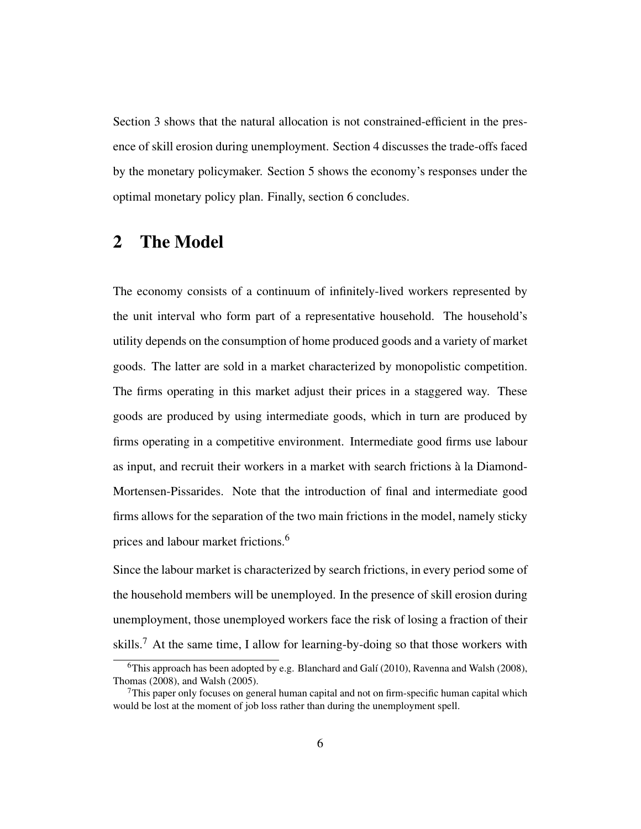Section 3 shows that the natural allocation is not constrained-efficient in the presence of skill erosion during unemployment. Section 4 discusses the trade-offs faced by the monetary policymaker. Section 5 shows the economy's responses under the optimal monetary policy plan. Finally, section 6 concludes.

### 2 The Model

The economy consists of a continuum of infinitely-lived workers represented by the unit interval who form part of a representative household. The household's utility depends on the consumption of home produced goods and a variety of market goods. The latter are sold in a market characterized by monopolistic competition. The firms operating in this market adjust their prices in a staggered way. These goods are produced by using intermediate goods, which in turn are produced by firms operating in a competitive environment. Intermediate good firms use labour as input, and recruit their workers in a market with search frictions à la Diamond-Mortensen-Pissarides. Note that the introduction of final and intermediate good firms allows for the separation of the two main frictions in the model, namely sticky prices and labour market frictions.<sup>6</sup>

Since the labour market is characterized by search frictions, in every period some of the household members will be unemployed. In the presence of skill erosion during unemployment, those unemployed workers face the risk of losing a fraction of their skills.<sup>7</sup> At the same time, I allow for learning-by-doing so that those workers with

<sup>&</sup>lt;sup>6</sup>This approach has been adopted by e.g. Blanchard and Galí (2010), Ravenna and Walsh (2008), Thomas (2008), and Walsh (2005).

 $7$ This paper only focuses on general human capital and not on firm-specific human capital which would be lost at the moment of job loss rather than during the unemployment spell.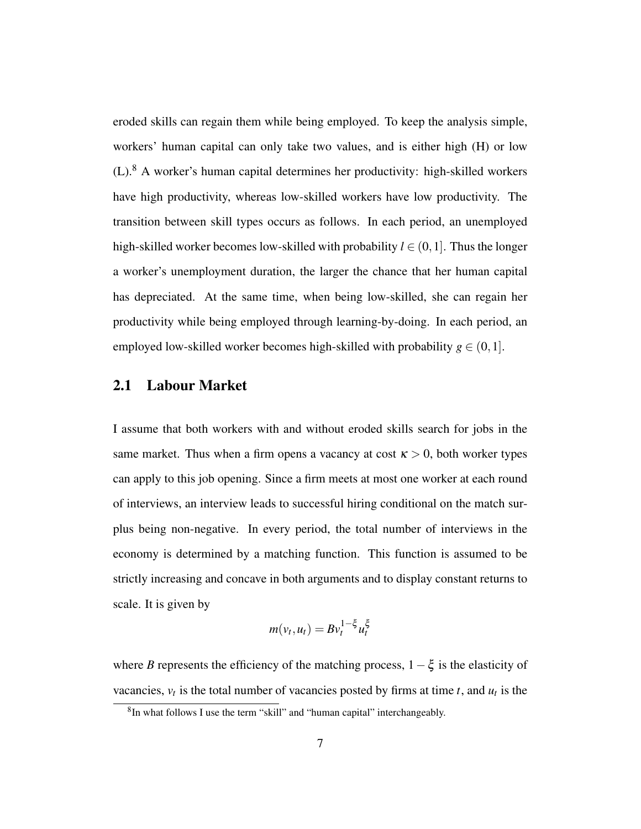eroded skills can regain them while being employed. To keep the analysis simple, workers' human capital can only take two values, and is either high (H) or low (L).<sup>8</sup> A worker's human capital determines her productivity: high-skilled workers have high productivity, whereas low-skilled workers have low productivity. The transition between skill types occurs as follows. In each period, an unemployed high-skilled worker becomes low-skilled with probability  $l \in (0,1]$ . Thus the longer a worker's unemployment duration, the larger the chance that her human capital has depreciated. At the same time, when being low-skilled, she can regain her productivity while being employed through learning-by-doing. In each period, an employed low-skilled worker becomes high-skilled with probability  $g \in (0,1]$ .

#### 2.1 Labour Market

I assume that both workers with and without eroded skills search for jobs in the same market. Thus when a firm opens a vacancy at cost  $\kappa > 0$ , both worker types can apply to this job opening. Since a firm meets at most one worker at each round of interviews, an interview leads to successful hiring conditional on the match surplus being non-negative. In every period, the total number of interviews in the economy is determined by a matching function. This function is assumed to be strictly increasing and concave in both arguments and to display constant returns to scale. It is given by

$$
m(v_t, u_t) = B v_t^{1-\xi} u_t^{\xi}
$$

where *B* represents the efficiency of the matching process,  $1-\xi$  is the elasticity of vacancies,  $v_t$  is the total number of vacancies posted by firms at time *t*, and  $u_t$  is the

<sup>&</sup>lt;sup>8</sup>In what follows I use the term "skill" and "human capital" interchangeably.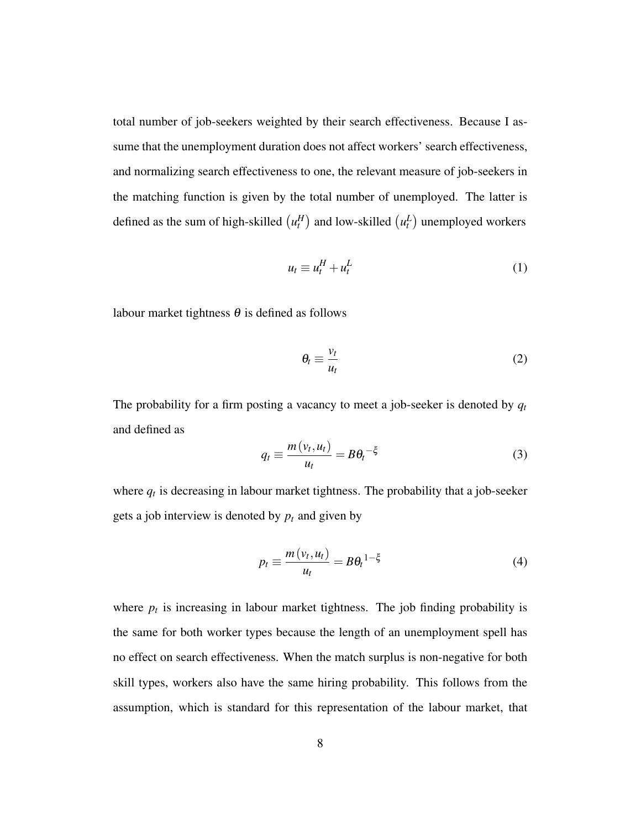total number of job-seekers weighted by their search effectiveness. Because I assume that the unemployment duration does not affect workers' search effectiveness, and normalizing search effectiveness to one, the relevant measure of job-seekers in the matching function is given by the total number of unemployed. The latter is defined as the sum of high-skilled  $\left( u_t^H \right)$  and low-skilled  $\left( u_t^L \right)$  unemployed workers

$$
u_t \equiv u_t^H + u_t^L \tag{1}
$$

labour market tightness  $\theta$  is defined as follows

$$
\theta_t \equiv \frac{v_t}{u_t} \tag{2}
$$

The probability for a firm posting a vacancy to meet a job-seeker is denoted by *q<sup>t</sup>* and defined as

$$
q_t \equiv \frac{m(v_t, u_t)}{u_t} = B\theta_t^{-\xi}
$$
 (3)

where  $q_t$  is decreasing in labour market tightness. The probability that a job-seeker gets a job interview is denoted by  $p_t$  and given by

$$
p_t \equiv \frac{m(v_t, u_t)}{u_t} = B\theta_t^{1-\xi}
$$
 (4)

where  $p_t$  is increasing in labour market tightness. The job finding probability is the same for both worker types because the length of an unemployment spell has no effect on search effectiveness. When the match surplus is non-negative for both skill types, workers also have the same hiring probability. This follows from the assumption, which is standard for this representation of the labour market, that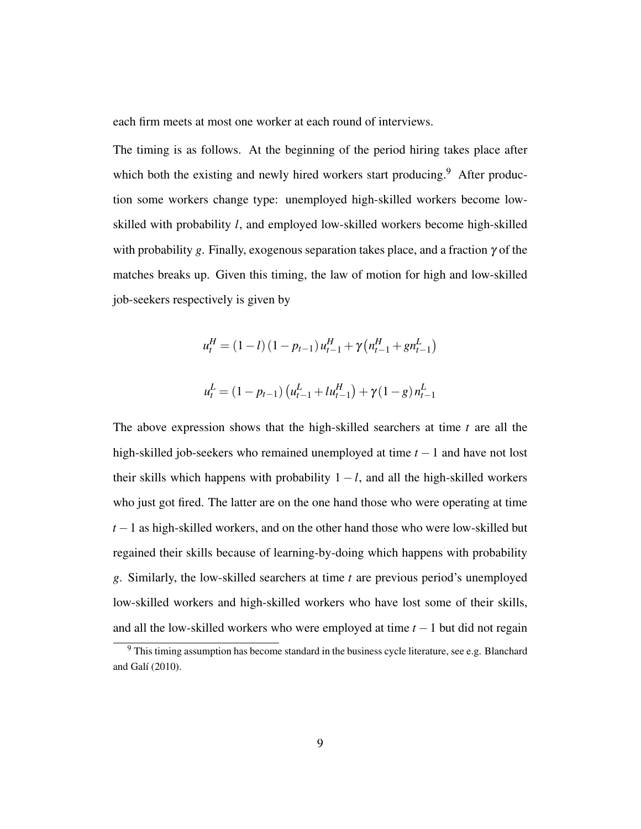each firm meets at most one worker at each round of interviews.

The timing is as follows. At the beginning of the period hiring takes place after which both the existing and newly hired workers start producing.<sup>9</sup> After production some workers change type: unemployed high-skilled workers become lowskilled with probability *l*, and employed low-skilled workers become high-skilled with probability *g*. Finally, exogenous separation takes place, and a fraction γ of the matches breaks up. Given this timing, the law of motion for high and low-skilled job-seekers respectively is given by

$$
u_t^H = (1 - l) (1 - p_{t-1}) u_{t-1}^H + \gamma (n_{t-1}^H + g n_{t-1}^L)
$$
  

$$
u_t^L = (1 - p_{t-1}) (u_{t-1}^L + l u_{t-1}^H) + \gamma (1 - g) n_{t-1}^L
$$

The above expression shows that the high-skilled searchers at time *t* are all the high-skilled job-seekers who remained unemployed at time *t* −1 and have not lost their skills which happens with probability  $1 - l$ , and all the high-skilled workers who just got fired. The latter are on the one hand those who were operating at time *t* − 1 as high-skilled workers, and on the other hand those who were low-skilled but regained their skills because of learning-by-doing which happens with probability *g*. Similarly, the low-skilled searchers at time *t* are previous period's unemployed low-skilled workers and high-skilled workers who have lost some of their skills, and all the low-skilled workers who were employed at time *t* −1 but did not regain

<sup>&</sup>lt;sup>9</sup> This timing assumption has become standard in the business cycle literature, see e.g. Blanchard and Galí (2010).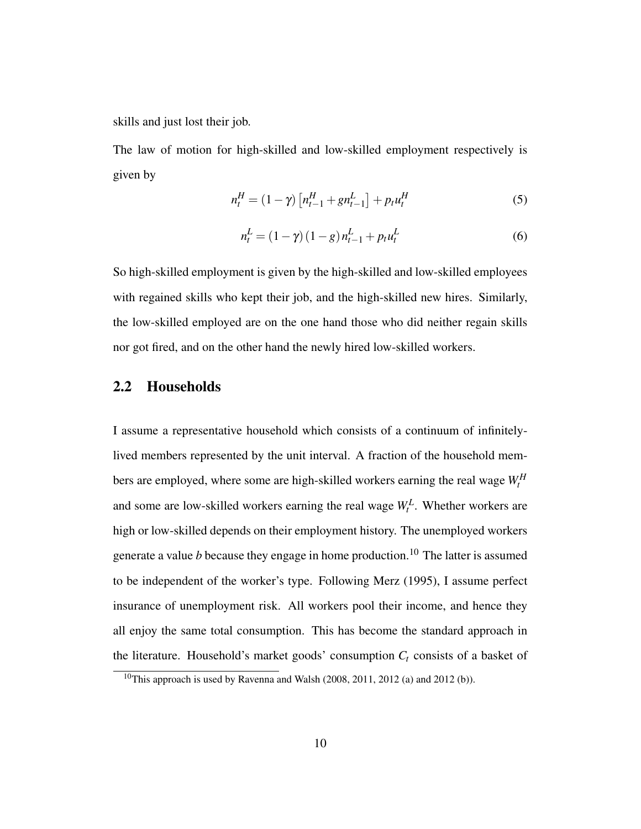skills and just lost their job.

The law of motion for high-skilled and low-skilled employment respectively is given by

$$
n_t^H = (1 - \gamma) \left[ n_{t-1}^H + g n_{t-1}^L \right] + p_t u_t^H \tag{5}
$$

$$
n_t^L = (1 - \gamma)(1 - g)n_{t-1}^L + p_t u_t^L
$$
\n(6)

So high-skilled employment is given by the high-skilled and low-skilled employees with regained skills who kept their job, and the high-skilled new hires. Similarly, the low-skilled employed are on the one hand those who did neither regain skills nor got fired, and on the other hand the newly hired low-skilled workers.

#### 2.2 Households

I assume a representative household which consists of a continuum of infinitelylived members represented by the unit interval. A fraction of the household members are employed, where some are high-skilled workers earning the real wage  $W_t^H$ and some are low-skilled workers earning the real wage  $W_t^L$ . Whether workers are high or low-skilled depends on their employment history. The unemployed workers generate a value  $b$  because they engage in home production.<sup>10</sup> The latter is assumed to be independent of the worker's type. Following Merz (1995), I assume perfect insurance of unemployment risk. All workers pool their income, and hence they all enjoy the same total consumption. This has become the standard approach in the literature. Household's market goods' consumption  $C_t$  consists of a basket of

<sup>&</sup>lt;sup>10</sup>This approach is used by Ravenna and Walsh (2008, 2011, 2012 (a) and 2012 (b)).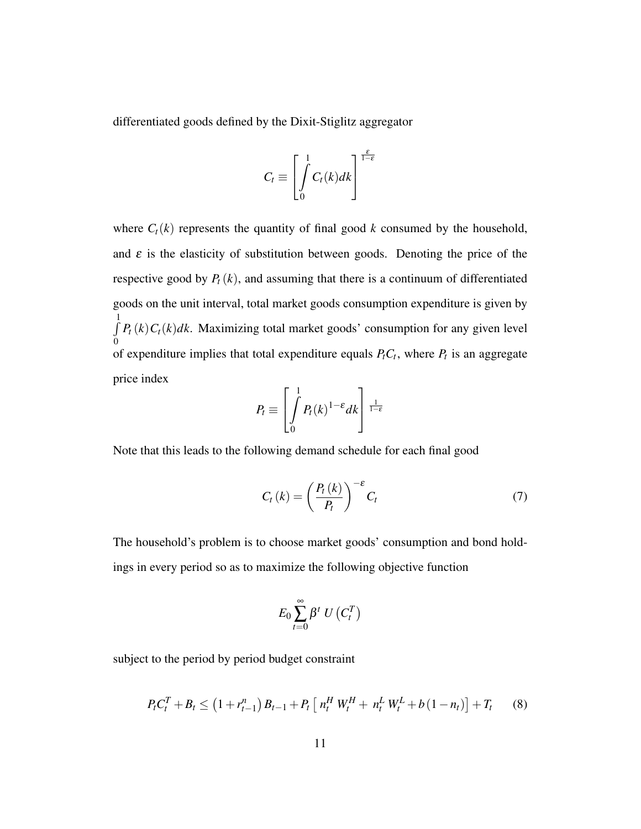differentiated goods defined by the Dixit-Stiglitz aggregator

$$
C_t \equiv \left[\int\limits_0^1 C_t(k)dk\right]^{\frac{\varepsilon}{1-\varepsilon}}
$$

where  $C_t(k)$  represents the quantity of final good  $k$  consumed by the household, and  $\varepsilon$  is the elasticity of substitution between goods. Denoting the price of the respective good by  $P_t(k)$ , and assuming that there is a continuum of differentiated goods on the unit interval, total market goods consumption expenditure is given by  $\int$ 1 0  $P_t(k)C_t(k)dk$ . Maximizing total market goods' consumption for any given level of expenditure implies that total expenditure equals  $P_t C_t$ , where  $P_t$  is an aggregate price index

$$
P_t \equiv \left[ \int\limits_0^1 P_t(k)^{1-\varepsilon} dk \right]^\frac{1}{1-\varepsilon}
$$

Note that this leads to the following demand schedule for each final good

$$
C_t(k) = \left(\frac{P_t(k)}{P_t}\right)^{-\epsilon} C_t \tag{7}
$$

The household's problem is to choose market goods' consumption and bond holdings in every period so as to maximize the following objective function

$$
E_0\sum_{t=0}^{\infty}\beta^t\ U\left(C_t^T\right)
$$

subject to the period by period budget constraint

$$
P_t C_t^T + B_t \leq (1 + r_{t-1}^n) B_{t-1} + P_t \left[ n_t^H W_t^H + n_t^L W_t^L + b (1 - n_t) \right] + T_t \tag{8}
$$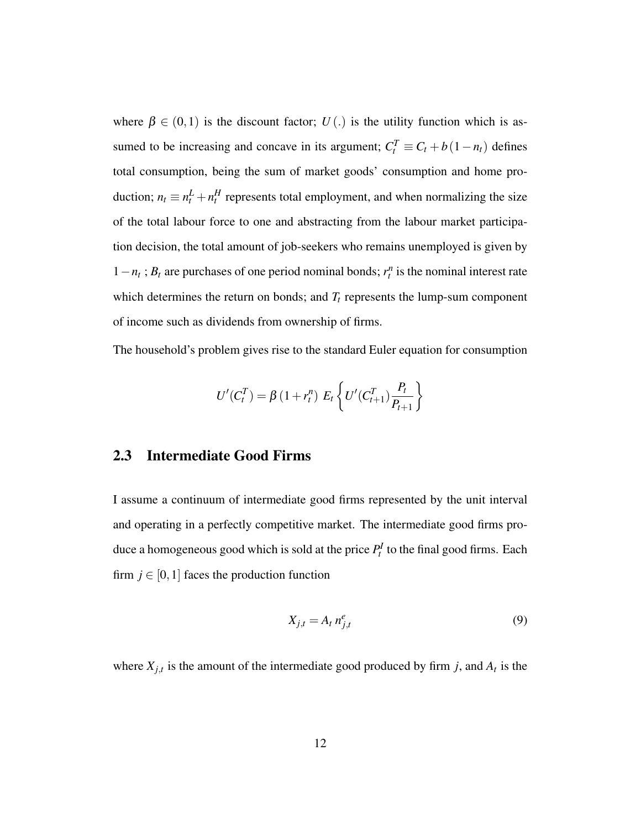where  $\beta \in (0,1)$  is the discount factor;  $U(.)$  is the utility function which is assumed to be increasing and concave in its argument;  $C_t^T \equiv C_t + b(1 - n_t)$  defines total consumption, being the sum of market goods' consumption and home production;  $n_t \equiv n_t^L + n_t^H$  represents total employment, and when normalizing the size of the total labour force to one and abstracting from the labour market participation decision, the total amount of job-seekers who remains unemployed is given by  $1 - n_t$ ;  $B_t$  are purchases of one period nominal bonds;  $r_t^n$  is the nominal interest rate which determines the return on bonds; and  $T_t$  represents the lump-sum component of income such as dividends from ownership of firms.

The household's problem gives rise to the standard Euler equation for consumption

$$
U'(C_t^T) = \beta (1 + r_t^n) E_t \left\{ U'(C_{t+1}^T) \frac{P_t}{P_{t+1}} \right\}
$$

#### 2.3 Intermediate Good Firms

I assume a continuum of intermediate good firms represented by the unit interval and operating in a perfectly competitive market. The intermediate good firms produce a homogeneous good which is sold at the price  $P_t^I$  to the final good firms. Each firm  $j \in [0, 1]$  faces the production function

$$
X_{j,t} = A_t n_{j,t}^e \tag{9}
$$

where  $X_{j,t}$  is the amount of the intermediate good produced by firm *j*, and  $A_t$  is the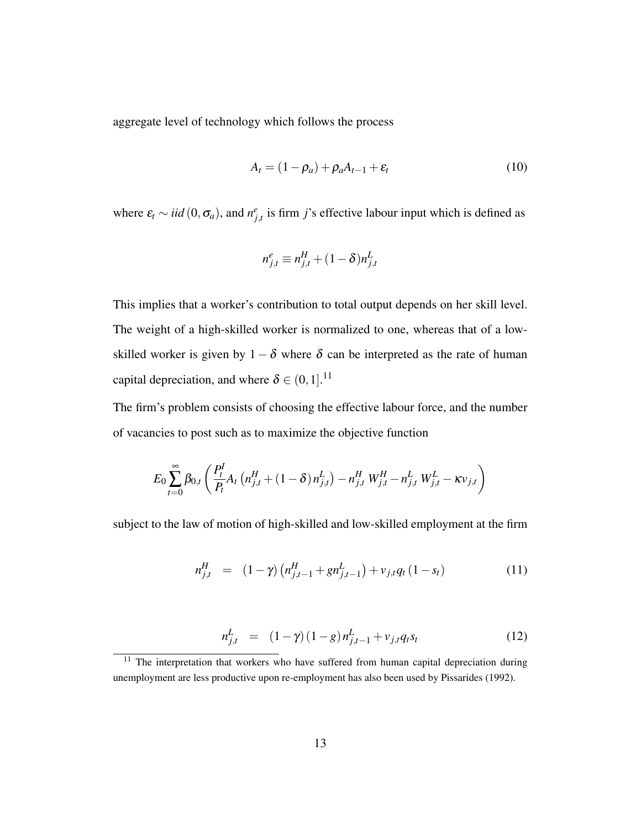aggregate level of technology which follows the process

$$
A_t = (1 - \rho_a) + \rho_a A_{t-1} + \varepsilon_t \tag{10}
$$

where  $\varepsilon_t \sim \textit{iid}(0, \sigma_a)$ , and  $n_{j,t}^e$  is firm *j*'s effective labour input which is defined as

$$
n_{j,t}^e \equiv n_{j,t}^H + (1 - \delta)n_{j,t}^L
$$

This implies that a worker's contribution to total output depends on her skill level. The weight of a high-skilled worker is normalized to one, whereas that of a lowskilled worker is given by  $1 - \delta$  where  $\delta$  can be interpreted as the rate of human capital depreciation, and where  $\delta \in (0,1]$ .<sup>11</sup>

The firm's problem consists of choosing the effective labour force, and the number of vacancies to post such as to maximize the objective function

$$
E_0 \sum_{t=0}^{\infty} \beta_{0,t} \left( \frac{P_t^I}{P_t} A_t \left( n_{j,t}^H + (1 - \delta) n_{j,t}^L \right) - n_{j,t}^H W_{j,t}^H - n_{j,t}^L W_{j,t}^L - \kappa v_{j,t} \right)
$$

subject to the law of motion of high-skilled and low-skilled employment at the firm

$$
n_{j,t}^H = (1 - \gamma) \left( n_{j,t-1}^H + g n_{j,t-1}^L \right) + v_{j,t} q_t (1 - s_t)
$$
 (11)

$$
n_{j,t}^L = (1 - \gamma)(1 - g)n_{j,t-1}^L + v_{j,t}q_t s_t \qquad (12)
$$

 $11$  The interpretation that workers who have suffered from human capital depreciation during unemployment are less productive upon re-employment has also been used by Pissarides (1992).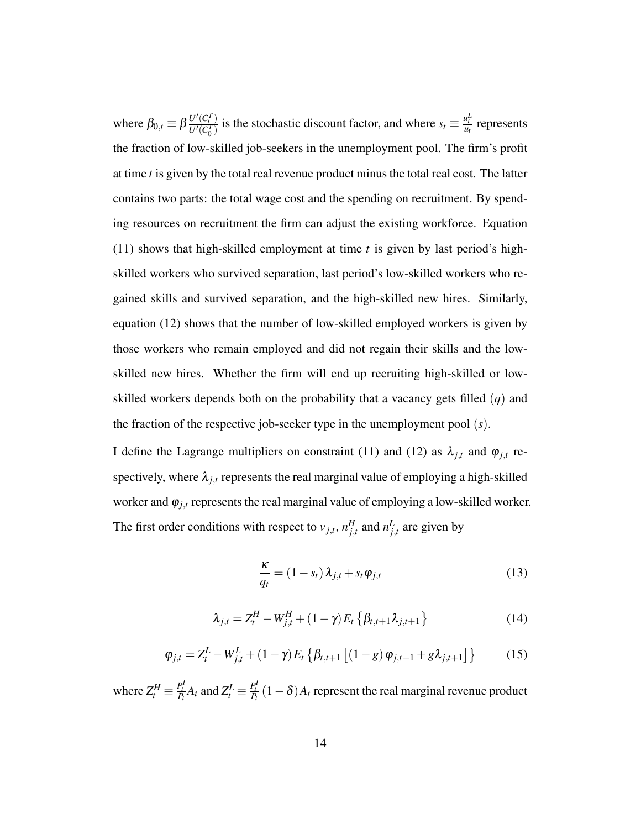where  $\beta_{0,t} \equiv \beta \frac{U'(C_t^T)}{U'(C_t^T)}$  $\frac{U'(C_t^T)}{U'(C_0^T)}$  is the stochastic discount factor, and where  $s_t \equiv \frac{u_t^L}{u_t}$  represents the fraction of low-skilled job-seekers in the unemployment pool. The firm's profit at time *t* is given by the total real revenue product minus the total real cost. The latter contains two parts: the total wage cost and the spending on recruitment. By spending resources on recruitment the firm can adjust the existing workforce. Equation (11) shows that high-skilled employment at time *t* is given by last period's highskilled workers who survived separation, last period's low-skilled workers who regained skills and survived separation, and the high-skilled new hires. Similarly, equation (12) shows that the number of low-skilled employed workers is given by those workers who remain employed and did not regain their skills and the lowskilled new hires. Whether the firm will end up recruiting high-skilled or lowskilled workers depends both on the probability that a vacancy gets filled (*q*) and the fraction of the respective job-seeker type in the unemployment pool (*s*).

I define the Lagrange multipliers on constraint (11) and (12) as  $\lambda_{j,t}$  and  $\varphi_{j,t}$  respectively, where  $\lambda_{j,t}$  represents the real marginal value of employing a high-skilled worker and  $\varphi_{j,t}$  represents the real marginal value of employing a low-skilled worker. The first order conditions with respect to  $v_{j,t}$ ,  $n_{j,t}^H$  and  $n_{j,t}^L$  are given by

$$
\frac{\kappa}{q_t} = (1 - s_t) \lambda_{j,t} + s_t \varphi_{j,t}
$$
\n(13)

$$
\lambda_{j,t} = Z_t^H - W_{j,t}^H + (1 - \gamma) E_t \{ \beta_{t,t+1} \lambda_{j,t+1} \}
$$
 (14)

$$
\varphi_{j,t} = Z_t^L - W_{j,t}^L + (1 - \gamma) E_t \left\{ \beta_{t,t+1} \left[ (1 - g) \varphi_{j,t+1} + g \lambda_{j,t+1} \right] \right\} \tag{15}
$$

where  $Z_t^H \equiv \frac{P_t^I}{P_t} A_t$  and  $Z_t^L \equiv \frac{P_t^I}{P_t} (1 - \delta) A_t$  represent the real marginal revenue product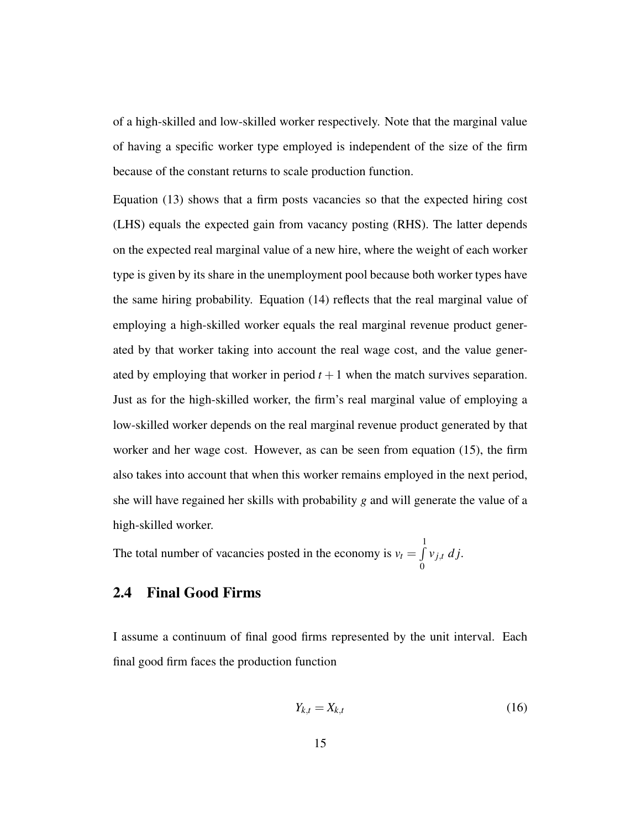of a high-skilled and low-skilled worker respectively. Note that the marginal value of having a specific worker type employed is independent of the size of the firm because of the constant returns to scale production function.

Equation (13) shows that a firm posts vacancies so that the expected hiring cost (LHS) equals the expected gain from vacancy posting (RHS). The latter depends on the expected real marginal value of a new hire, where the weight of each worker type is given by its share in the unemployment pool because both worker types have the same hiring probability. Equation (14) reflects that the real marginal value of employing a high-skilled worker equals the real marginal revenue product generated by that worker taking into account the real wage cost, and the value generated by employing that worker in period  $t + 1$  when the match survives separation. Just as for the high-skilled worker, the firm's real marginal value of employing a low-skilled worker depends on the real marginal revenue product generated by that worker and her wage cost. However, as can be seen from equation (15), the firm also takes into account that when this worker remains employed in the next period, she will have regained her skills with probability *g* and will generate the value of a high-skilled worker.

The total number of vacancies posted in the economy is  $v_t = \int$ 1 0  $v_{j,t}$  *d j*.

#### 2.4 Final Good Firms

I assume a continuum of final good firms represented by the unit interval. Each final good firm faces the production function

$$
Y_{k,t} = X_{k,t} \tag{16}
$$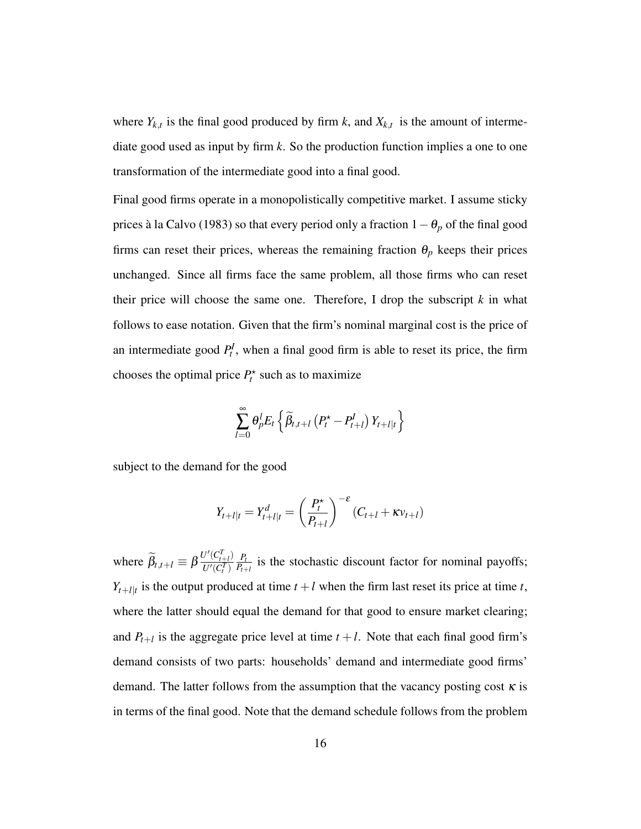where  $Y_{k,t}$  is the final good produced by firm *k*, and  $X_{k,t}$  is the amount of intermediate good used as input by firm *k*. So the production function implies a one to one transformation of the intermediate good into a final good.

Final good firms operate in a monopolistically competitive market. I assume sticky prices à la Calvo (1983) so that every period only a fraction 1−θ*<sup>p</sup>* of the final good firms can reset their prices, whereas the remaining fraction  $\theta_p$  keeps their prices unchanged. Since all firms face the same problem, all those firms who can reset their price will choose the same one. Therefore, I drop the subscript  $k$  in what follows to ease notation. Given that the firm's nominal marginal cost is the price of an intermediate good  $P_t^I$ , when a final good firm is able to reset its price, the firm chooses the optimal price  $P_t^*$  such as to maximize

$$
\sum_{l=0}^{\infty} \theta_p^l E_t \left\{ \widetilde{\beta}_{t,t+l} \left( P_t^{\star} - P_{t+l}^I \right) Y_{t+l|t} \right\}
$$

subject to the demand for the good

$$
Y_{t+l|t} = Y_{t+l|t}^d = \left(\frac{P_t^*}{P_{t+l}}\right)^{-\varepsilon} (C_{t+l} + \kappa v_{t+l})
$$

where  $\widetilde{\beta}_{t,t+l} \equiv \beta \frac{U'(C_{t+l}^T)}{U'(C_t^T)}$  $\overline{U'(C_t^T)}$ *Pt*  $\frac{P_t}{P_{t+1}}$  is the stochastic discount factor for nominal payoffs;  $Y_{t+l|t}$  is the output produced at time  $t+l$  when the firm last reset its price at time *t*, where the latter should equal the demand for that good to ensure market clearing; and  $P_{t+1}$  is the aggregate price level at time  $t + l$ . Note that each final good firm's demand consists of two parts: households' demand and intermediate good firms' demand. The latter follows from the assumption that the vacancy posting cost  $\kappa$  is in terms of the final good. Note that the demand schedule follows from the problem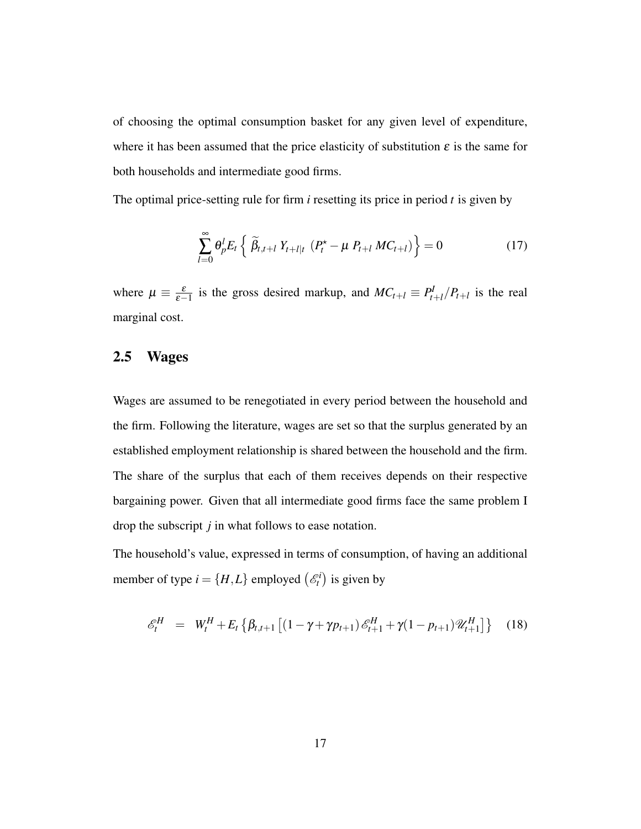of choosing the optimal consumption basket for any given level of expenditure, where it has been assumed that the price elasticity of substitution  $\varepsilon$  is the same for both households and intermediate good firms.

The optimal price-setting rule for firm *i* resetting its price in period *t* is given by

$$
\sum_{l=0}^{\infty} \theta_p^l E_t \left\{ \widetilde{\beta}_{t,t+l} Y_{t+l|t} \left( P_t^{\star} - \mu P_{t+l} M C_{t+l} \right) \right\} = 0 \tag{17}
$$

where  $\mu \equiv \frac{\varepsilon}{\varepsilon - 1}$  is the gross desired markup, and  $MC_{t+l} \equiv P_t^l$  $P_{t+l}$  / $P_{t+l}$  is the real marginal cost.

#### 2.5 Wages

Wages are assumed to be renegotiated in every period between the household and the firm. Following the literature, wages are set so that the surplus generated by an established employment relationship is shared between the household and the firm. The share of the surplus that each of them receives depends on their respective bargaining power. Given that all intermediate good firms face the same problem I drop the subscript *j* in what follows to ease notation.

The household's value, expressed in terms of consumption, of having an additional member of type  $i = \{H, L\}$  employed  $\begin{pmatrix} \mathcal{E}_t^i \\ k \end{pmatrix}$  is given by

$$
\mathcal{E}_{t}^{H} = W_{t}^{H} + E_{t} \left\{ \beta_{t,t+1} \left[ (1 - \gamma + \gamma p_{t+1}) \mathcal{E}_{t+1}^{H} + \gamma (1 - p_{t+1}) \mathcal{U}_{t+1}^{H} \right] \right\} (18)
$$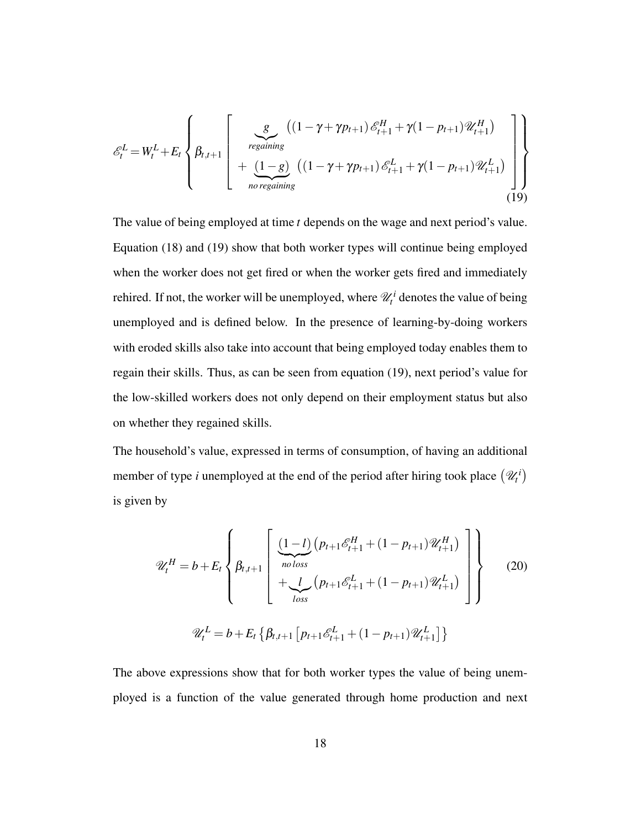$$
\mathcal{E}_{t}^{L} = W_{t}^{L} + E_{t} \left\{ \beta_{t,t+1} \left[ \begin{array}{c} g - ((1 - \gamma + \gamma p_{t+1}) \mathcal{E}_{t+1}^{H} + \gamma (1 - p_{t+1}) \mathcal{U}_{t+1}^{H}) \\ + \frac{(1 - g)}{\text{no regaining}} \left( (1 - \gamma + \gamma p_{t+1}) \mathcal{E}_{t+1}^{L} + \gamma (1 - p_{t+1}) \mathcal{U}_{t+1}^{L}) \right) \\ \text{no regaining} \end{array} \right] \right\}
$$
(19)

The value of being employed at time *t* depends on the wage and next period's value. Equation (18) and (19) show that both worker types will continue being employed when the worker does not get fired or when the worker gets fired and immediately rehired. If not, the worker will be unemployed, where  $\mathcal{U}_t^i$  denotes the value of being unemployed and is defined below. In the presence of learning-by-doing workers with eroded skills also take into account that being employed today enables them to regain their skills. Thus, as can be seen from equation (19), next period's value for the low-skilled workers does not only depend on their employment status but also on whether they regained skills.

The household's value, expressed in terms of consumption, of having an additional member of type *i* unemployed at the end of the period after hiring took place  $(\mathcal{U}_t^i)$ is given by

$$
\mathcal{U}_{t}^{H} = b + E_{t} \left\{ \beta_{t,t+1} \left[ \frac{(1-l) \left( p_{t+1} \mathcal{E}_{t+1}^{H} + (1 - p_{t+1}) \mathcal{U}_{t+1}^{H} \right) \right] + \bigcup_{loss} \left( p_{t+1} \mathcal{E}_{t+1}^{L} + (1 - p_{t+1}) \mathcal{U}_{t+1}^{L} \right) \right\}
$$
\n
$$
\mathcal{U}_{t}^{L} = b + E_{t} \left\{ \beta_{t,t+1} \left[ p_{t+1} \mathcal{E}_{t+1}^{L} + (1 - p_{t+1}) \mathcal{U}_{t+1}^{L} \right] \right\}
$$
\n(20)

The above expressions show that for both worker types the value of being unemployed is a function of the value generated through home production and next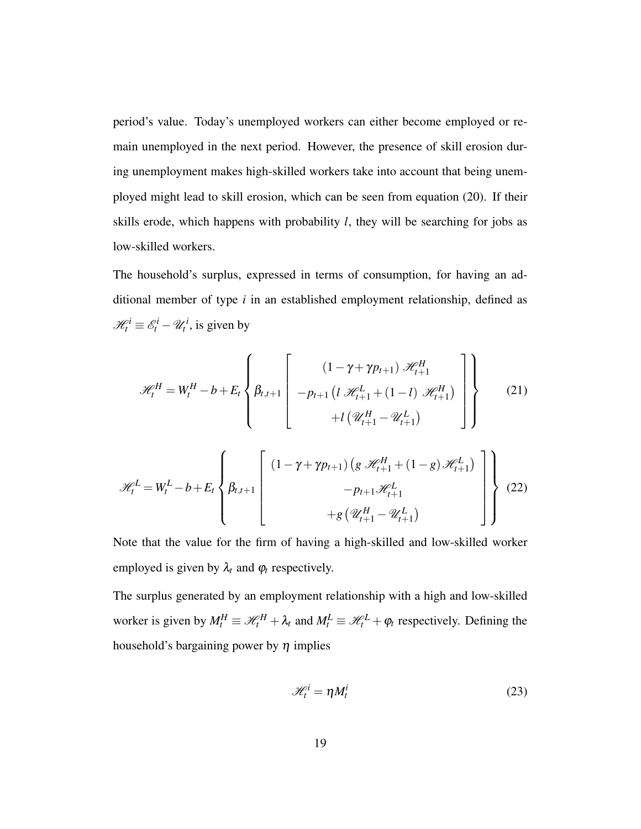period's value. Today's unemployed workers can either become employed or remain unemployed in the next period. However, the presence of skill erosion during unemployment makes high-skilled workers take into account that being unemployed might lead to skill erosion, which can be seen from equation (20). If their skills erode, which happens with probability *l*, they will be searching for jobs as low-skilled workers.

The household's surplus, expressed in terms of consumption, for having an additional member of type *i* in an established employment relationship, defined as  $\mathcal{H}_t^i \equiv \mathcal{E}_t^i - \mathcal{U}_t^i$ , is given by

$$
\mathcal{H}_{t}^{H} = W_{t}^{H} - b + E_{t} \left\{ \beta_{t,t+1} \begin{bmatrix} (1 - \gamma + \gamma p_{t+1}) \mathcal{H}_{t+1}^{H} \\ -p_{t+1} (l \mathcal{H}_{t+1}^{L} + (1 - l) \mathcal{H}_{t+1}^{H}) \\ + l (\mathcal{U}_{t+1}^{H} - \mathcal{U}_{t+1}^{L}) \end{bmatrix} \right\}
$$
(21)

$$
\mathcal{H}_{t}^{L} = W_{t}^{L} - b + E_{t} \left\{ \beta_{t,t+1} \begin{bmatrix} (1 - \gamma + \gamma p_{t+1}) \left( g \mathcal{H}_{t+1}^{H} + (1 - g) \mathcal{H}_{t+1}^{L} \right) \\ - p_{t+1} \mathcal{H}_{t+1}^{L} \\ + g \left( \mathcal{U}_{t+1}^{H} - \mathcal{U}_{t+1}^{L} \right) \end{bmatrix} \right\}
$$
(22)

Note that the value for the firm of having a high-skilled and low-skilled worker employed is given by  $\lambda_t$  and  $\varphi_t$  respectively.

The surplus generated by an employment relationship with a high and low-skilled worker is given by  $M_t^H \equiv \mathcal{H}_t^H + \lambda_t$  and  $M_t^L \equiv \mathcal{H}_t^L + \varphi_t$  respectively. Defining the household's bargaining power by  $\eta$  implies

$$
\mathcal{H}_t^i = \eta M_t^i \tag{23}
$$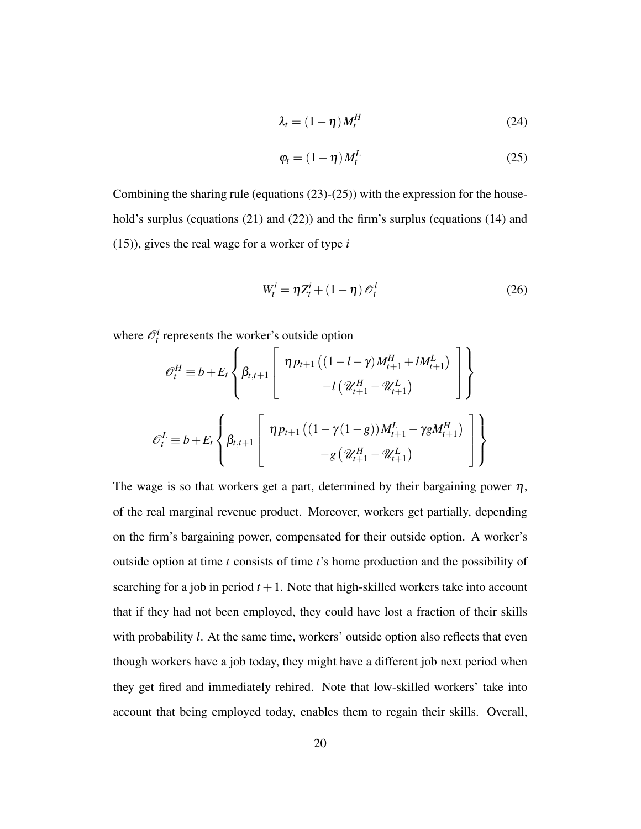$$
\lambda_t = (1 - \eta) M_t^H \tag{24}
$$

$$
\varphi_t = (1 - \eta) M_t^L \tag{25}
$$

Combining the sharing rule (equations  $(23)-(25)$ ) with the expression for the household's surplus (equations (21) and (22)) and the firm's surplus (equations (14) and (15)), gives the real wage for a worker of type *i*

$$
W_t^i = \eta Z_t^i + (1 - \eta) \mathcal{O}_t^i \tag{26}
$$

where  $\mathcal{O}_t^i$  represents the worker's outside option

$$
\mathcal{O}_{t}^{H} \equiv b + E_{t} \left\{ \beta_{t,t+1} \left[ \eta p_{t+1} \left( (1 - l - \gamma) M_{t+1}^{H} + l M_{t+1}^{L} \right) \right] \right\}
$$

$$
- l \left( \mathcal{U}_{t+1}^{H} - \mathcal{U}_{t+1}^{L} \right)
$$

$$
\mathcal{O}_{t}^{L} \equiv b + E_{t} \left\{ \beta_{t,t+1} \left[ \eta p_{t+1} \left( (1 - \gamma (1 - g)) M_{t+1}^{L} - \gamma g M_{t+1}^{H} \right) \right] \right\}
$$

$$
- g \left( \mathcal{U}_{t+1}^{H} - \mathcal{U}_{t+1}^{L} \right)
$$

The wage is so that workers get a part, determined by their bargaining power  $\eta$ , of the real marginal revenue product. Moreover, workers get partially, depending on the firm's bargaining power, compensated for their outside option. A worker's outside option at time *t* consists of time *t*'s home production and the possibility of searching for a job in period  $t + 1$ . Note that high-skilled workers take into account that if they had not been employed, they could have lost a fraction of their skills with probability *l*. At the same time, workers' outside option also reflects that even though workers have a job today, they might have a different job next period when they get fired and immediately rehired. Note that low-skilled workers' take into account that being employed today, enables them to regain their skills. Overall,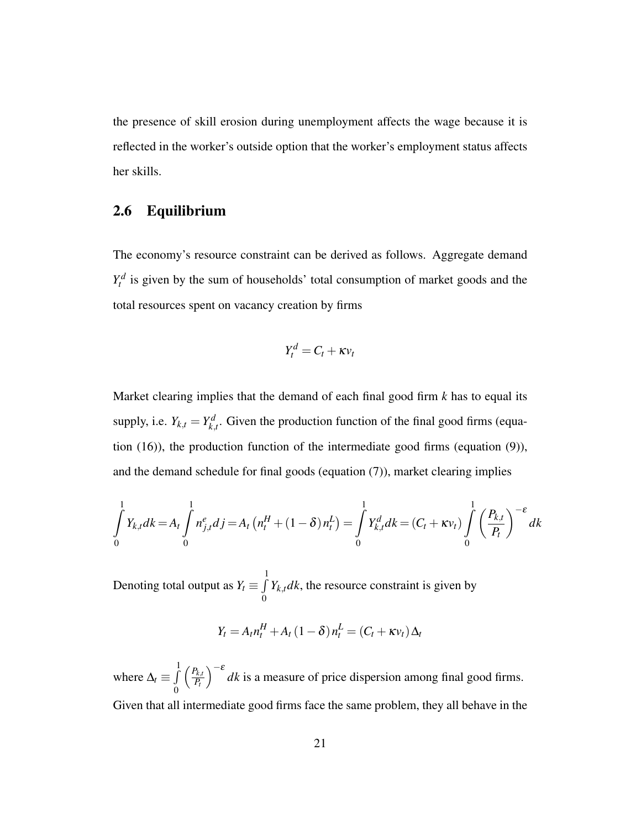the presence of skill erosion during unemployment affects the wage because it is reflected in the worker's outside option that the worker's employment status affects her skills.

#### 2.6 Equilibrium

The economy's resource constraint can be derived as follows. Aggregate demand  $Y_t^d$  is given by the sum of households' total consumption of market goods and the total resources spent on vacancy creation by firms

$$
Y_t^d = C_t + \kappa v_t
$$

Market clearing implies that the demand of each final good firm *k* has to equal its supply, i.e.  $Y_{k,t} = Y_{k,t}^d$  $k_{k,t}$ . Given the production function of the final good firms (equation (16)), the production function of the intermediate good firms (equation (9)), and the demand schedule for final goods (equation (7)), market clearing implies

$$
\int_{0}^{1} Y_{k,t} dk = A_t \int_{0}^{1} n_{j,t}^{e} dj = A_t (n_t^H + (1 - \delta) n_t^L) = \int_{0}^{1} Y_{k,t}^d dk = (C_t + \kappa v_t) \int_{0}^{1} \left( \frac{P_{k,t}}{P_t} \right)^{-\epsilon} dk
$$

Denoting total output as  $Y_t \equiv \int$ 1 0  $Y_{k,t}$ *dk*, the resource constraint is given by

$$
Y_t = A_t n_t^H + A_t (1 - \delta) n_t^L = (C_t + \kappa v_t) \Delta_t
$$

where  $\Delta_t \equiv \int$ 1 0  $\int P_{k,t}$ *Pt*  $\int_{0}^{\infty} dk$  is a measure of price dispersion among final good firms. Given that all intermediate good firms face the same problem, they all behave in the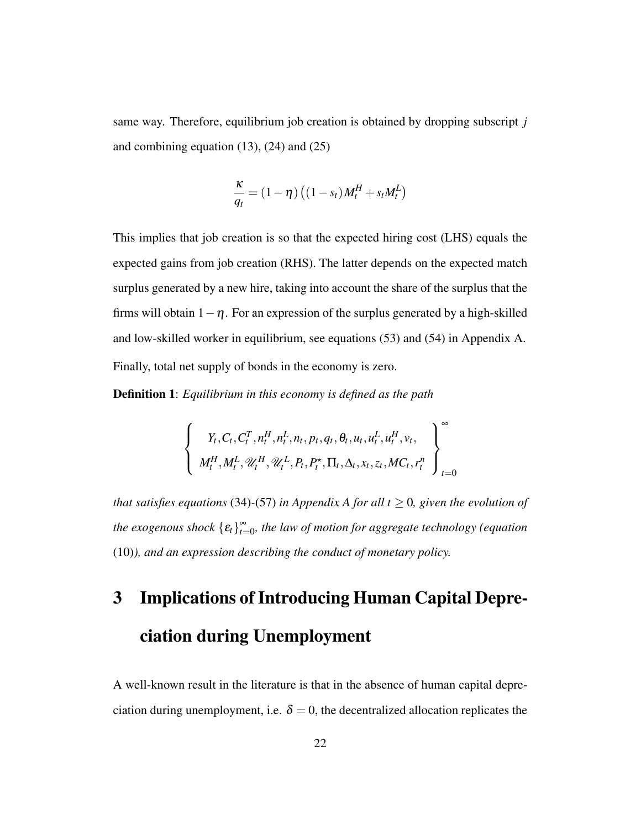same way. Therefore, equilibrium job creation is obtained by dropping subscript *j* and combining equation  $(13)$ ,  $(24)$  and  $(25)$ 

$$
\frac{\kappa}{q_t} = (1 - \eta) \left( (1 - s_t) M_t^H + s_t M_t^L \right)
$$

This implies that job creation is so that the expected hiring cost (LHS) equals the expected gains from job creation (RHS). The latter depends on the expected match surplus generated by a new hire, taking into account the share of the surplus that the firms will obtain  $1-\eta$ . For an expression of the surplus generated by a high-skilled and low-skilled worker in equilibrium, see equations (53) and (54) in Appendix A. Finally, total net supply of bonds in the economy is zero.

Definition 1: *Equilibrium in this economy is defined as the path*

$$
\left\{\n\begin{array}{c}\nY_t, C_t, C_t^T, n_t^H, n_t^L, n_t, p_t, q_t, \theta_t, u_t, u_t^L, u_t^H, v_t, \\
M_t^H, M_t^L, \mathcal{U}_t^H, \mathcal{U}_t^L, P_t, P_t^{\star}, \Pi_t, \Delta_t, x_t, z_t, MC_t, r_t^n\n\end{array}\n\right\}_{t=0}^{\infty}
$$

*that satisfies equations* (34)-(57) *in Appendix A for all t*  $\geq$  0, given the evolution of *the exogenous shock*  ${E_t}_{t=0}^{\infty}$  $_{t=0}^{\infty}$ , the law of motion for aggregate technology (equation (10)*), and an expression describing the conduct of monetary policy.*

# 3 Implications of Introducing Human Capital Depreciation during Unemployment

A well-known result in the literature is that in the absence of human capital depreciation during unemployment, i.e.  $\delta = 0$ , the decentralized allocation replicates the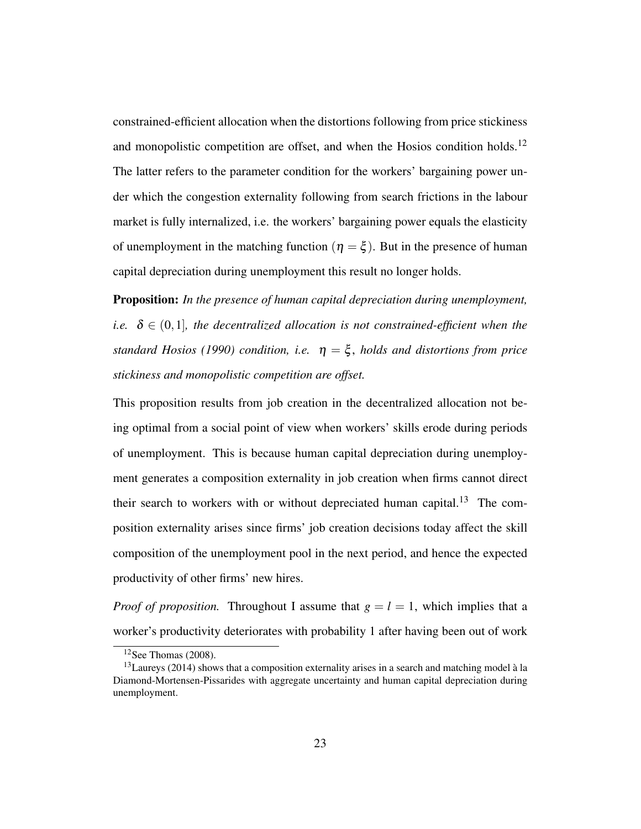constrained-efficient allocation when the distortions following from price stickiness and monopolistic competition are offset, and when the Hosios condition holds.<sup>12</sup> The latter refers to the parameter condition for the workers' bargaining power under which the congestion externality following from search frictions in the labour market is fully internalized, i.e. the workers' bargaining power equals the elasticity of unemployment in the matching function ( $\eta = \xi$ ). But in the presence of human capital depreciation during unemployment this result no longer holds.

Proposition: *In the presence of human capital depreciation during unemployment, i.e.*  $\delta \in (0,1]$ *, the decentralized allocation is not constrained-efficient when the standard Hosios (1990) condition, i.e.*  $\eta = \xi$ , *holds and distortions from price stickiness and monopolistic competition are offset.*

This proposition results from job creation in the decentralized allocation not being optimal from a social point of view when workers' skills erode during periods of unemployment. This is because human capital depreciation during unemployment generates a composition externality in job creation when firms cannot direct their search to workers with or without depreciated human capital.<sup>13</sup> The composition externality arises since firms' job creation decisions today affect the skill composition of the unemployment pool in the next period, and hence the expected productivity of other firms' new hires.

*Proof of proposition.* Throughout I assume that  $g = l = 1$ , which implies that a worker's productivity deteriorates with probability 1 after having been out of work

 $12$ See Thomas (2008).

 $13$ Laureys (2014) shows that a composition externality arises in a search and matching model à la Diamond-Mortensen-Pissarides with aggregate uncertainty and human capital depreciation during unemployment.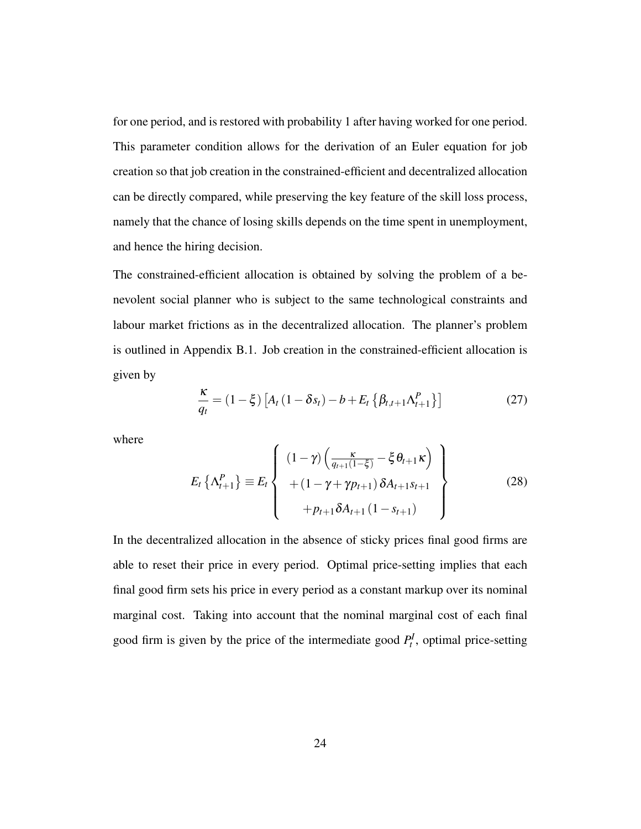for one period, and is restored with probability 1 after having worked for one period. This parameter condition allows for the derivation of an Euler equation for job creation so that job creation in the constrained-efficient and decentralized allocation can be directly compared, while preserving the key feature of the skill loss process, namely that the chance of losing skills depends on the time spent in unemployment, and hence the hiring decision.

The constrained-efficient allocation is obtained by solving the problem of a benevolent social planner who is subject to the same technological constraints and labour market frictions as in the decentralized allocation. The planner's problem is outlined in Appendix B.1. Job creation in the constrained-efficient allocation is given by

$$
\frac{\kappa}{q_t} = (1 - \xi) \left[ A_t (1 - \delta s_t) - b + E_t \left\{ \beta_{t,t+1} \Lambda_{t+1}^P \right\} \right]
$$
(27)

where

$$
E_{t} \left\{ \Lambda_{t+1}^{P} \right\} \equiv E_{t} \left\{ \begin{array}{c} (1 - \gamma) \left( \frac{\kappa}{q_{t+1}(1-\xi)} - \xi \theta_{t+1} \kappa \right) \\ + (1 - \gamma + \gamma p_{t+1}) \delta A_{t+1} s_{t+1} \\ + p_{t+1} \delta A_{t+1} \left( 1 - s_{t+1} \right) \end{array} \right\}
$$
(28)

In the decentralized allocation in the absence of sticky prices final good firms are able to reset their price in every period. Optimal price-setting implies that each final good firm sets his price in every period as a constant markup over its nominal marginal cost. Taking into account that the nominal marginal cost of each final good firm is given by the price of the intermediate good  $P_t^I$ , optimal price-setting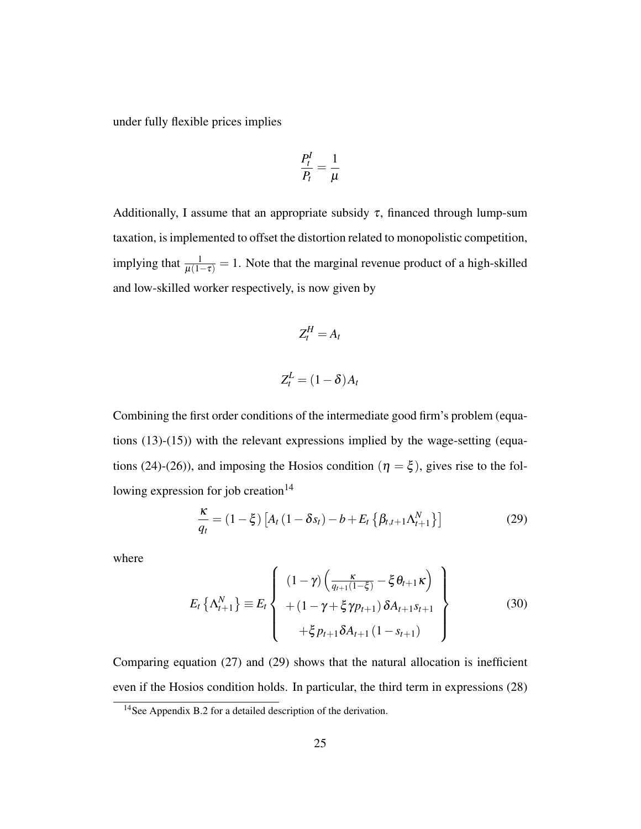under fully flexible prices implies

$$
\frac{P_t^I}{P_t} = \frac{1}{\mu}
$$

Additionally, I assume that an appropriate subsidy  $\tau$ , financed through lump-sum taxation, is implemented to offset the distortion related to monopolistic competition, implying that  $\frac{1}{\mu(1-\tau)} = 1$ . Note that the marginal revenue product of a high-skilled and low-skilled worker respectively, is now given by

$$
Z_t^H=A_t
$$

$$
Z_t^L = (1 - \delta) A_t
$$

Combining the first order conditions of the intermediate good firm's problem (equations  $(13)-(15)$ ) with the relevant expressions implied by the wage-setting (equations (24)-(26)), and imposing the Hosios condition ( $\eta = \xi$ ), gives rise to the following expression for job creation $14$ 

$$
\frac{\kappa}{q_t} = (1 - \xi) \left[ A_t \left( 1 - \delta s_t \right) - b + E_t \left\{ \beta_{t,t+1} \Lambda_{t+1}^N \right\} \right]
$$
(29)

where

$$
E_{t} \left\{ \Lambda_{t+1}^{N} \right\} \equiv E_{t} \left\{ \begin{array}{c} (1 - \gamma) \left( \frac{\kappa}{q_{t+1}(1 - \xi)} - \xi \theta_{t+1} \kappa \right) \\ + (1 - \gamma + \xi \gamma p_{t+1}) \delta A_{t+1} s_{t+1} \\ + \xi p_{t+1} \delta A_{t+1} (1 - s_{t+1}) \end{array} \right\}
$$
(30)

Comparing equation (27) and (29) shows that the natural allocation is inefficient even if the Hosios condition holds. In particular, the third term in expressions (28)

<sup>&</sup>lt;sup>14</sup>See Appendix B.2 for a detailed description of the derivation.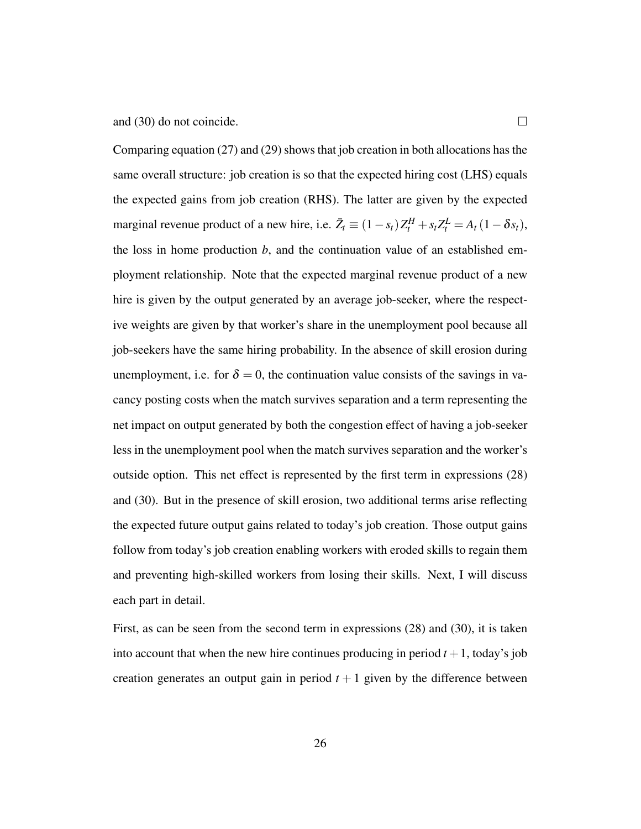and (30) do not coincide.  $\Box$ 

Comparing equation (27) and (29) shows that job creation in both allocations has the same overall structure: job creation is so that the expected hiring cost (LHS) equals the expected gains from job creation (RHS). The latter are given by the expected marginal revenue product of a new hire, i.e.  $\bar{Z}_t \equiv (1 - s_t)Z_t^H + s_t Z_t^L = A_t (1 - \delta s_t)$ , the loss in home production *b*, and the continuation value of an established employment relationship. Note that the expected marginal revenue product of a new hire is given by the output generated by an average job-seeker, where the respective weights are given by that worker's share in the unemployment pool because all job-seekers have the same hiring probability. In the absence of skill erosion during unemployment, i.e. for  $\delta = 0$ , the continuation value consists of the savings in vacancy posting costs when the match survives separation and a term representing the net impact on output generated by both the congestion effect of having a job-seeker less in the unemployment pool when the match survives separation and the worker's outside option. This net effect is represented by the first term in expressions (28) and (30). But in the presence of skill erosion, two additional terms arise reflecting the expected future output gains related to today's job creation. Those output gains follow from today's job creation enabling workers with eroded skills to regain them and preventing high-skilled workers from losing their skills. Next, I will discuss each part in detail.

First, as can be seen from the second term in expressions (28) and (30), it is taken into account that when the new hire continues producing in period  $t + 1$ , today's job creation generates an output gain in period  $t + 1$  given by the difference between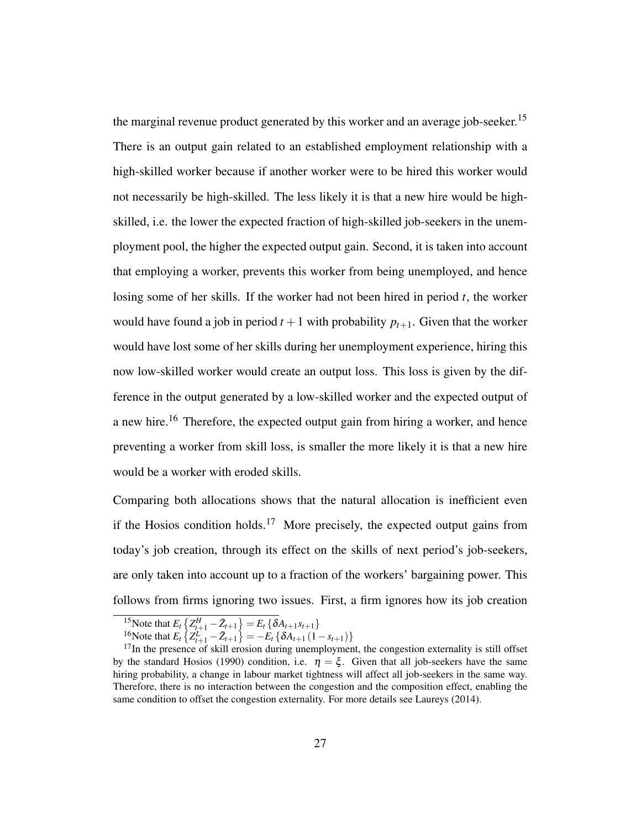the marginal revenue product generated by this worker and an average job-seeker.<sup>15</sup> There is an output gain related to an established employment relationship with a high-skilled worker because if another worker were to be hired this worker would not necessarily be high-skilled. The less likely it is that a new hire would be highskilled, i.e. the lower the expected fraction of high-skilled job-seekers in the unemployment pool, the higher the expected output gain. Second, it is taken into account that employing a worker, prevents this worker from being unemployed, and hence losing some of her skills. If the worker had not been hired in period *t*, the worker would have found a job in period  $t + 1$  with probability  $p_{t+1}$ . Given that the worker would have lost some of her skills during her unemployment experience, hiring this now low-skilled worker would create an output loss. This loss is given by the difference in the output generated by a low-skilled worker and the expected output of a new hire.<sup>16</sup> Therefore, the expected output gain from hiring a worker, and hence preventing a worker from skill loss, is smaller the more likely it is that a new hire would be a worker with eroded skills.

Comparing both allocations shows that the natural allocation is inefficient even if the Hosios condition holds.<sup>17</sup> More precisely, the expected output gains from today's job creation, through its effect on the skills of next period's job-seekers, are only taken into account up to a fraction of the workers' bargaining power. This follows from firms ignoring two issues. First, a firm ignores how its job creation

 $\sum_{t=1}^{15}$  Note that  $E_t \left\{ Z_{t+1}^H - \bar{Z}_{t+1} \right\} = E_t \left\{ \delta A_{t+1} s_{t+1} \right\}$ 

 $\frac{16}{2}$  Note that  $E_t \left\{ Z_{t+1}^L - \bar{Z}_{t+1} \right\} = -E_t \left\{ \delta A_{t+1} \left( 1 - s_{t+1} \right) \right\}$ 

 $17$ In the presence of skill erosion during unemployment, the congestion externality is still offset by the standard Hosios (1990) condition, i.e.  $\eta = \xi$ . Given that all job-seekers have the same hiring probability, a change in labour market tightness will affect all job-seekers in the same way. Therefore, there is no interaction between the congestion and the composition effect, enabling the same condition to offset the congestion externality. For more details see Laureys (2014).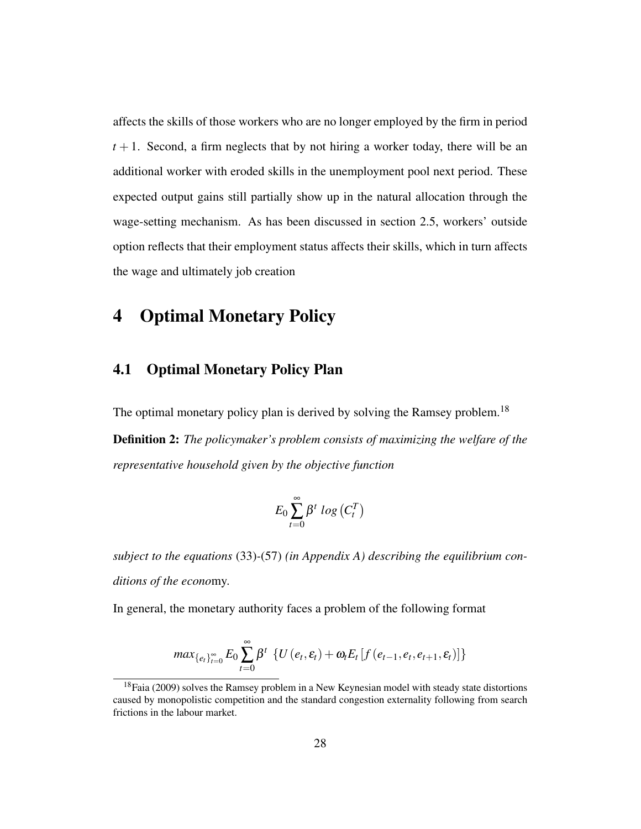affects the skills of those workers who are no longer employed by the firm in period  $t + 1$ . Second, a firm neglects that by not hiring a worker today, there will be an additional worker with eroded skills in the unemployment pool next period. These expected output gains still partially show up in the natural allocation through the wage-setting mechanism. As has been discussed in section 2.5, workers' outside option reflects that their employment status affects their skills, which in turn affects the wage and ultimately job creation

# 4 Optimal Monetary Policy

#### 4.1 Optimal Monetary Policy Plan

The optimal monetary policy plan is derived by solving the Ramsey problem.<sup>18</sup> Definition 2: *The policymaker's problem consists of maximizing the welfare of the representative household given by the objective function*

$$
E_0\sum_{t=0}^{\infty}\beta^t log(C_t^T)
$$

*subject to the equations* (33)*-*(57) *(in Appendix A) describing the equilibrium conditions of the econo*my.

In general, the monetary authority faces a problem of the following format

$$
max_{\{e_t\}_{t=0}^{\infty}} E_0 \sum_{t=0}^{\infty} \beta^t \left\{ U\left(e_t, \varepsilon_t\right) + \omega_t E_t \left[ f\left(e_{t-1}, e_t, e_{t+1}, \varepsilon_t\right) \right] \right\}
$$

 $18$ Faia (2009) solves the Ramsey problem in a New Keynesian model with steady state distortions caused by monopolistic competition and the standard congestion externality following from search frictions in the labour market.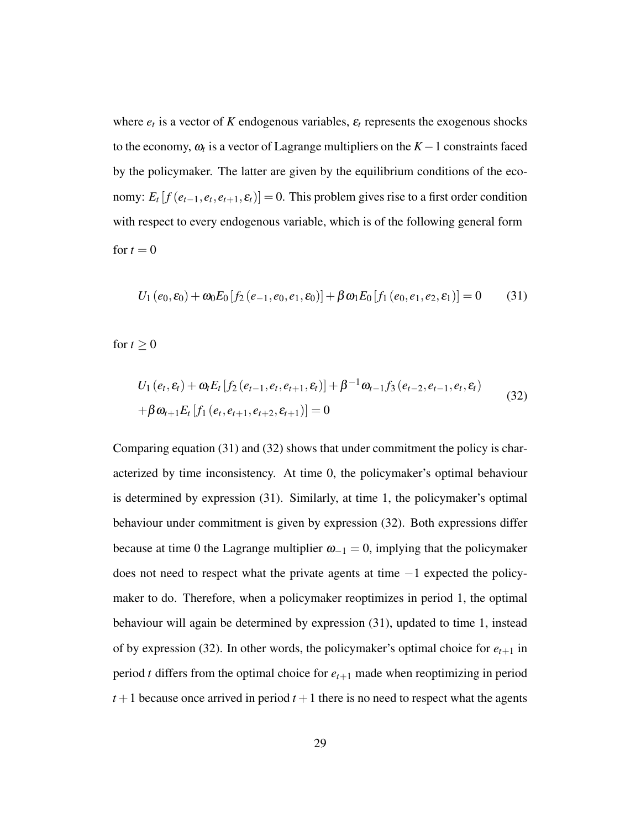where  $e_t$  is a vector of *K* endogenous variables,  $\varepsilon_t$  represents the exogenous shocks to the economy,  $\omega_t$  is a vector of Lagrange multipliers on the  $K-1$  constraints faced by the policymaker. The latter are given by the equilibrium conditions of the economy:  $E_t$  [ $f$  ( $e_{t-1}, e_t, e_{t+1}, \varepsilon_t$ )] = 0. This problem gives rise to a first order condition with respect to every endogenous variable, which is of the following general form for  $t = 0$ 

$$
U_1(e_0, \varepsilon_0) + \omega_0 E_0[f_2(e_{-1}, e_0, e_1, \varepsilon_0)] + \beta \omega_1 E_0[f_1(e_0, e_1, e_2, \varepsilon_1)] = 0 \quad (31)
$$

for  $t \geq 0$ 

$$
U_1(e_t, \varepsilon_t) + \omega_t E_t [f_2(e_{t-1}, e_t, e_{t+1}, \varepsilon_t)] + \beta^{-1} \omega_{t-1} f_3(e_{t-2}, e_{t-1}, e_t, \varepsilon_t)
$$
  
+  $\beta \omega_{t+1} E_t [f_1(e_t, e_{t+1}, e_{t+2}, \varepsilon_{t+1})] = 0$  (32)

Comparing equation (31) and (32) shows that under commitment the policy is characterized by time inconsistency. At time 0, the policymaker's optimal behaviour is determined by expression (31). Similarly, at time 1, the policymaker's optimal behaviour under commitment is given by expression (32). Both expressions differ because at time 0 the Lagrange multiplier  $\omega_{-1} = 0$ , implying that the policymaker does not need to respect what the private agents at time  $-1$  expected the policymaker to do. Therefore, when a policymaker reoptimizes in period 1, the optimal behaviour will again be determined by expression (31), updated to time 1, instead of by expression (32). In other words, the policymaker's optimal choice for  $e_{t+1}$  in period *t* differs from the optimal choice for  $e_{t+1}$  made when reoptimizing in period  $t+1$  because once arrived in period  $t+1$  there is no need to respect what the agents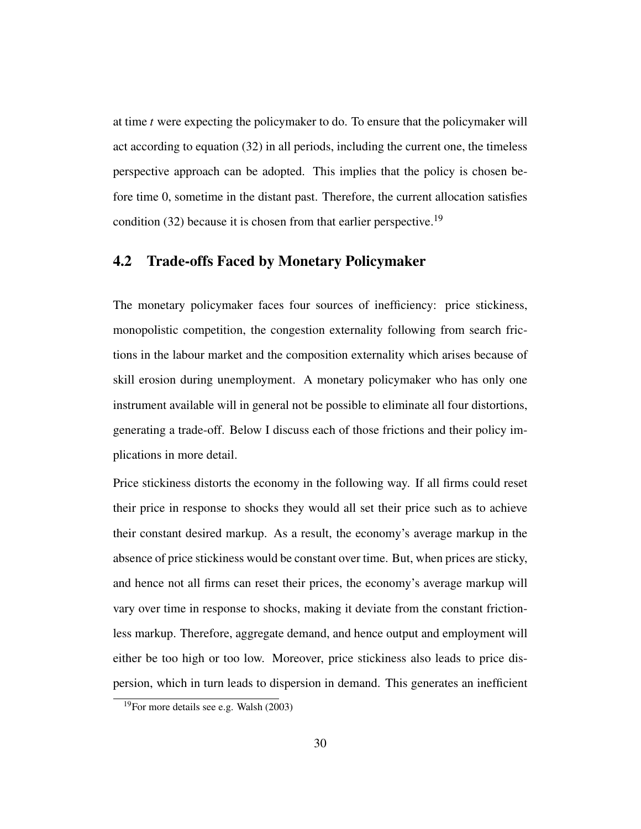at time *t* were expecting the policymaker to do. To ensure that the policymaker will act according to equation (32) in all periods, including the current one, the timeless perspective approach can be adopted. This implies that the policy is chosen before time 0, sometime in the distant past. Therefore, the current allocation satisfies condition  $(32)$  because it is chosen from that earlier perspective.<sup>19</sup>

#### 4.2 Trade-offs Faced by Monetary Policymaker

The monetary policymaker faces four sources of inefficiency: price stickiness, monopolistic competition, the congestion externality following from search frictions in the labour market and the composition externality which arises because of skill erosion during unemployment. A monetary policymaker who has only one instrument available will in general not be possible to eliminate all four distortions, generating a trade-off. Below I discuss each of those frictions and their policy implications in more detail.

Price stickiness distorts the economy in the following way. If all firms could reset their price in response to shocks they would all set their price such as to achieve their constant desired markup. As a result, the economy's average markup in the absence of price stickiness would be constant over time. But, when prices are sticky, and hence not all firms can reset their prices, the economy's average markup will vary over time in response to shocks, making it deviate from the constant frictionless markup. Therefore, aggregate demand, and hence output and employment will either be too high or too low. Moreover, price stickiness also leads to price dispersion, which in turn leads to dispersion in demand. This generates an inefficient

 $19$ For more details see e.g. Walsh (2003)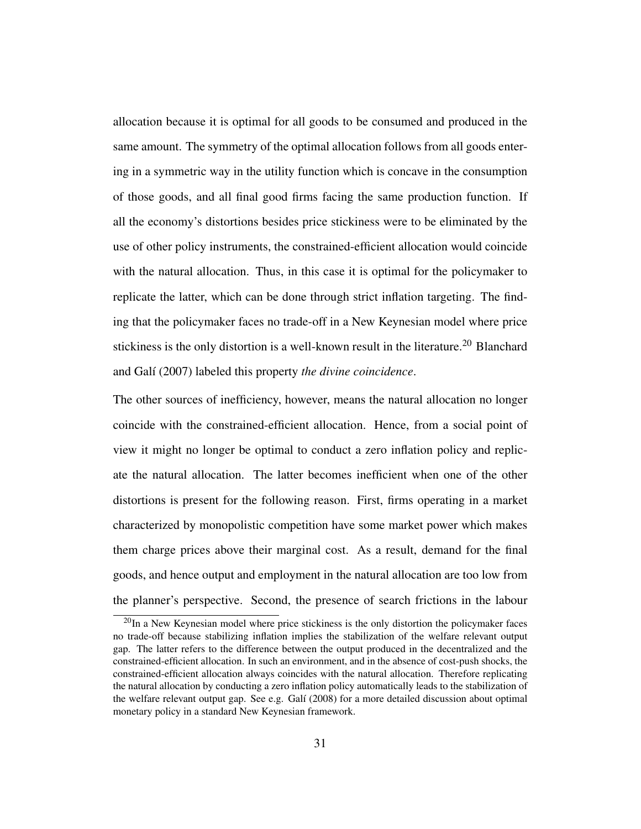allocation because it is optimal for all goods to be consumed and produced in the same amount. The symmetry of the optimal allocation follows from all goods entering in a symmetric way in the utility function which is concave in the consumption of those goods, and all final good firms facing the same production function. If all the economy's distortions besides price stickiness were to be eliminated by the use of other policy instruments, the constrained-efficient allocation would coincide with the natural allocation. Thus, in this case it is optimal for the policymaker to replicate the latter, which can be done through strict inflation targeting. The finding that the policymaker faces no trade-off in a New Keynesian model where price stickiness is the only distortion is a well-known result in the literature.<sup>20</sup> Blanchard and Galí (2007) labeled this property *the divine coincidence*.

The other sources of inefficiency, however, means the natural allocation no longer coincide with the constrained-efficient allocation. Hence, from a social point of view it might no longer be optimal to conduct a zero inflation policy and replicate the natural allocation. The latter becomes inefficient when one of the other distortions is present for the following reason. First, firms operating in a market characterized by monopolistic competition have some market power which makes them charge prices above their marginal cost. As a result, demand for the final goods, and hence output and employment in the natural allocation are too low from the planner's perspective. Second, the presence of search frictions in the labour

 $^{20}$ In a New Keynesian model where price stickiness is the only distortion the policymaker faces no trade-off because stabilizing inflation implies the stabilization of the welfare relevant output gap. The latter refers to the difference between the output produced in the decentralized and the constrained-efficient allocation. In such an environment, and in the absence of cost-push shocks, the constrained-efficient allocation always coincides with the natural allocation. Therefore replicating the natural allocation by conducting a zero inflation policy automatically leads to the stabilization of the welfare relevant output gap. See e.g. Galí (2008) for a more detailed discussion about optimal monetary policy in a standard New Keynesian framework.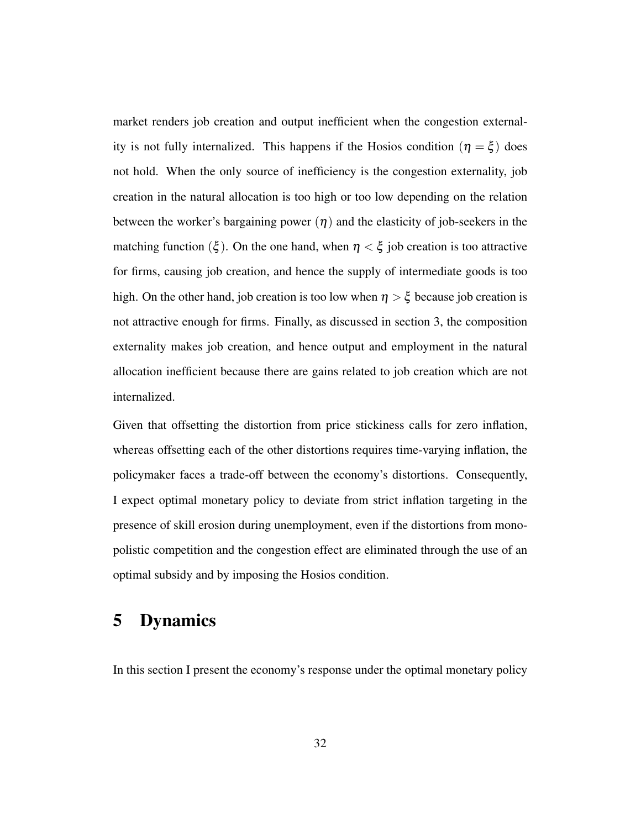market renders job creation and output inefficient when the congestion externality is not fully internalized. This happens if the Hosios condition  $(\eta = \xi)$  does not hold. When the only source of inefficiency is the congestion externality, job creation in the natural allocation is too high or too low depending on the relation between the worker's bargaining power  $(\eta)$  and the elasticity of job-seekers in the matching function ( $\xi$ ). On the one hand, when  $\eta < \xi$  job creation is too attractive for firms, causing job creation, and hence the supply of intermediate goods is too high. On the other hand, job creation is too low when  $\eta > \xi$  because job creation is not attractive enough for firms. Finally, as discussed in section 3, the composition externality makes job creation, and hence output and employment in the natural allocation inefficient because there are gains related to job creation which are not internalized.

Given that offsetting the distortion from price stickiness calls for zero inflation, whereas offsetting each of the other distortions requires time-varying inflation, the policymaker faces a trade-off between the economy's distortions. Consequently, I expect optimal monetary policy to deviate from strict inflation targeting in the presence of skill erosion during unemployment, even if the distortions from monopolistic competition and the congestion effect are eliminated through the use of an optimal subsidy and by imposing the Hosios condition.

# 5 Dynamics

In this section I present the economy's response under the optimal monetary policy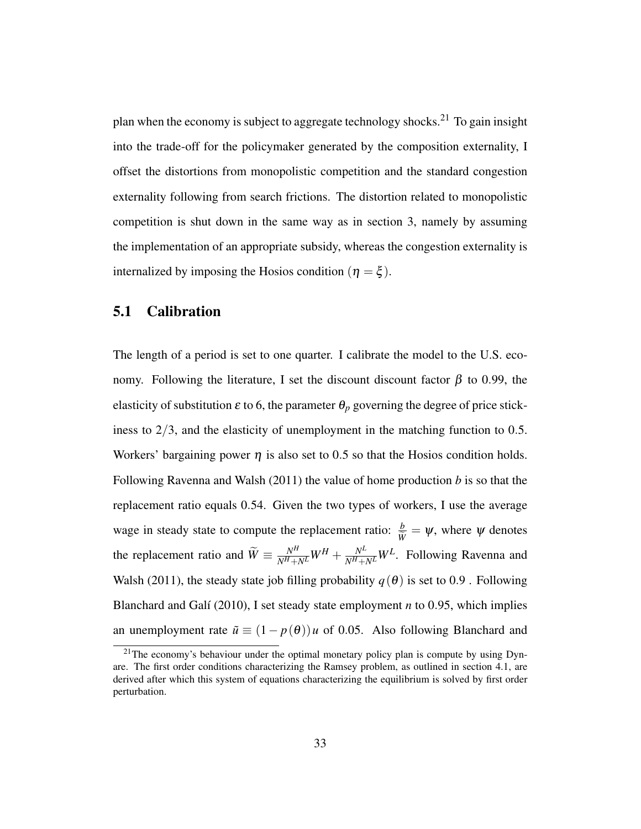plan when the economy is subject to aggregate technology shocks.<sup>21</sup> To gain insight into the trade-off for the policymaker generated by the composition externality, I offset the distortions from monopolistic competition and the standard congestion externality following from search frictions. The distortion related to monopolistic competition is shut down in the same way as in section 3, namely by assuming the implementation of an appropriate subsidy, whereas the congestion externality is internalized by imposing the Hosios condition ( $\eta = \xi$ ).

#### 5.1 Calibration

The length of a period is set to one quarter. I calibrate the model to the U.S. economy. Following the literature, I set the discount discount factor  $\beta$  to 0.99, the elasticity of substitution  $\varepsilon$  to 6, the parameter  $\theta_p$  governing the degree of price stickiness to  $2/3$ , and the elasticity of unemployment in the matching function to 0.5. Workers' bargaining power  $\eta$  is also set to 0.5 so that the Hosios condition holds. Following Ravenna and Walsh (2011) the value of home production *b* is so that the replacement ratio equals 0.54. Given the two types of workers, I use the average wage in steady state to compute the replacement ratio:  $\frac{b}{\tilde{W}} = \psi$ , where  $\psi$  denotes the replacement ratio and  $\widetilde{W} = \frac{N^H}{N^H + N^L} W^H + \frac{N^L}{N^H + N^L} W^L$ . Following Ravenna and Walsh (2011), the steady state job filling probability  $q(\theta)$  is set to 0.9. Following Blanchard and Galí (2010), I set steady state employment *n* to 0.95, which implies an unemployment rate  $\tilde{u} \equiv (1 - p(\theta))u$  of 0.05. Also following Blanchard and

<sup>&</sup>lt;sup>21</sup>The economy's behaviour under the optimal monetary policy plan is compute by using Dynare. The first order conditions characterizing the Ramsey problem, as outlined in section 4.1, are derived after which this system of equations characterizing the equilibrium is solved by first order perturbation.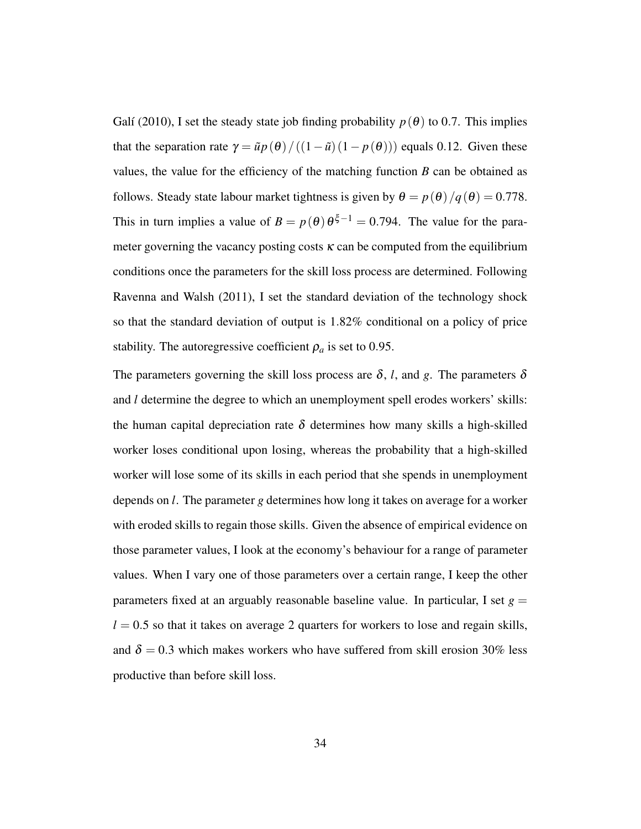Galí (2010), I set the steady state job finding probability  $p(\theta)$  to 0.7. This implies that the separation rate  $\gamma = \tilde{u}p(\theta) / ((1 - \tilde{u})(1 - p(\theta)))$  equals 0.12. Given these values, the value for the efficiency of the matching function  $B$  can be obtained as follows. Steady state labour market tightness is given by  $\theta = p(\theta)/q(\theta) = 0.778$ . This in turn implies a value of  $B = p(\theta) \theta^{\xi-1} = 0.794$ . The value for the parameter governing the vacancy posting costs  $\kappa$  can be computed from the equilibrium conditions once the parameters for the skill loss process are determined. Following Ravenna and Walsh (2011), I set the standard deviation of the technology shock so that the standard deviation of output is 1.82% conditional on a policy of price stability. The autoregressive coefficient  $\rho_a$  is set to 0.95.

The parameters governing the skill loss process are  $\delta$ , *l*, and *g*. The parameters  $\delta$ and *l* determine the degree to which an unemployment spell erodes workers' skills: the human capital depreciation rate  $\delta$  determines how many skills a high-skilled worker loses conditional upon losing, whereas the probability that a high-skilled worker will lose some of its skills in each period that she spends in unemployment depends on *l*. The parameter *g* determines how long it takes on average for a worker with eroded skills to regain those skills. Given the absence of empirical evidence on those parameter values, I look at the economy's behaviour for a range of parameter values. When I vary one of those parameters over a certain range, I keep the other parameters fixed at an arguably reasonable baseline value. In particular, I set  $g =$  $l = 0.5$  so that it takes on average 2 quarters for workers to lose and regain skills, and  $\delta = 0.3$  which makes workers who have suffered from skill erosion 30% less productive than before skill loss.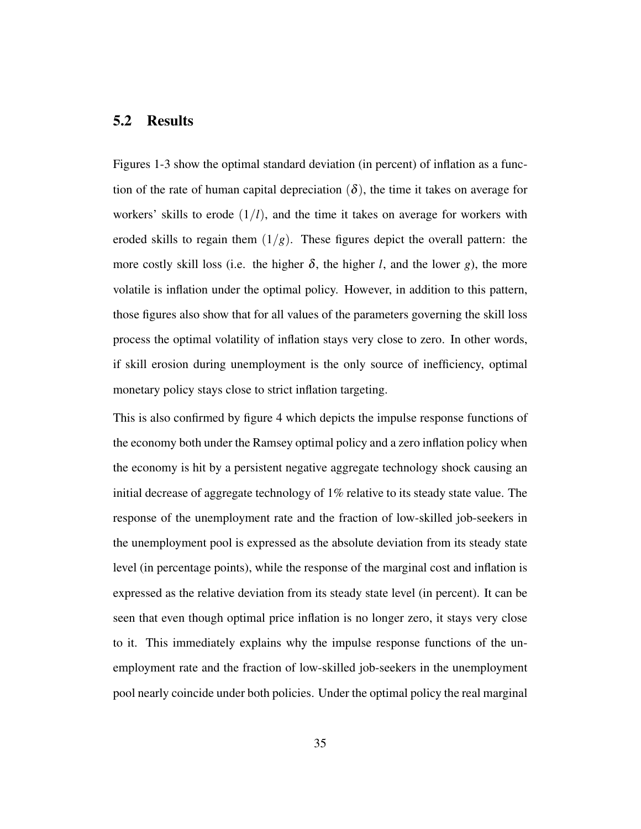#### 5.2 Results

Figures 1-3 show the optimal standard deviation (in percent) of inflation as a function of the rate of human capital depreciation  $(\delta)$ , the time it takes on average for workers' skills to erode  $(1/l)$ , and the time it takes on average for workers with eroded skills to regain them  $(1/g)$ . These figures depict the overall pattern: the more costly skill loss (i.e. the higher  $\delta$ , the higher *l*, and the lower *g*), the more volatile is inflation under the optimal policy. However, in addition to this pattern, those figures also show that for all values of the parameters governing the skill loss process the optimal volatility of inflation stays very close to zero. In other words, if skill erosion during unemployment is the only source of inefficiency, optimal monetary policy stays close to strict inflation targeting.

This is also confirmed by figure 4 which depicts the impulse response functions of the economy both under the Ramsey optimal policy and a zero inflation policy when the economy is hit by a persistent negative aggregate technology shock causing an initial decrease of aggregate technology of 1% relative to its steady state value. The response of the unemployment rate and the fraction of low-skilled job-seekers in the unemployment pool is expressed as the absolute deviation from its steady state level (in percentage points), while the response of the marginal cost and inflation is expressed as the relative deviation from its steady state level (in percent). It can be seen that even though optimal price inflation is no longer zero, it stays very close to it. This immediately explains why the impulse response functions of the unemployment rate and the fraction of low-skilled job-seekers in the unemployment pool nearly coincide under both policies. Under the optimal policy the real marginal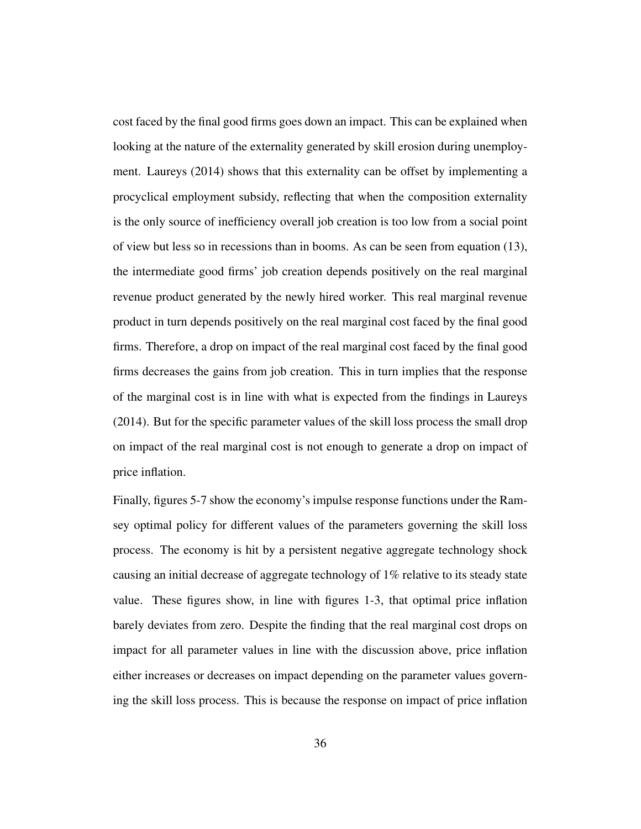cost faced by the final good firms goes down an impact. This can be explained when looking at the nature of the externality generated by skill erosion during unemployment. Laureys (2014) shows that this externality can be offset by implementing a procyclical employment subsidy, reflecting that when the composition externality is the only source of inefficiency overall job creation is too low from a social point of view but less so in recessions than in booms. As can be seen from equation (13), the intermediate good firms' job creation depends positively on the real marginal revenue product generated by the newly hired worker. This real marginal revenue product in turn depends positively on the real marginal cost faced by the final good firms. Therefore, a drop on impact of the real marginal cost faced by the final good firms decreases the gains from job creation. This in turn implies that the response of the marginal cost is in line with what is expected from the findings in Laureys (2014). But for the specific parameter values of the skill loss process the small drop on impact of the real marginal cost is not enough to generate a drop on impact of price inflation.

Finally, figures 5-7 show the economy's impulse response functions under the Ramsey optimal policy for different values of the parameters governing the skill loss process. The economy is hit by a persistent negative aggregate technology shock causing an initial decrease of aggregate technology of 1% relative to its steady state value. These figures show, in line with figures 1-3, that optimal price inflation barely deviates from zero. Despite the finding that the real marginal cost drops on impact for all parameter values in line with the discussion above, price inflation either increases or decreases on impact depending on the parameter values governing the skill loss process. This is because the response on impact of price inflation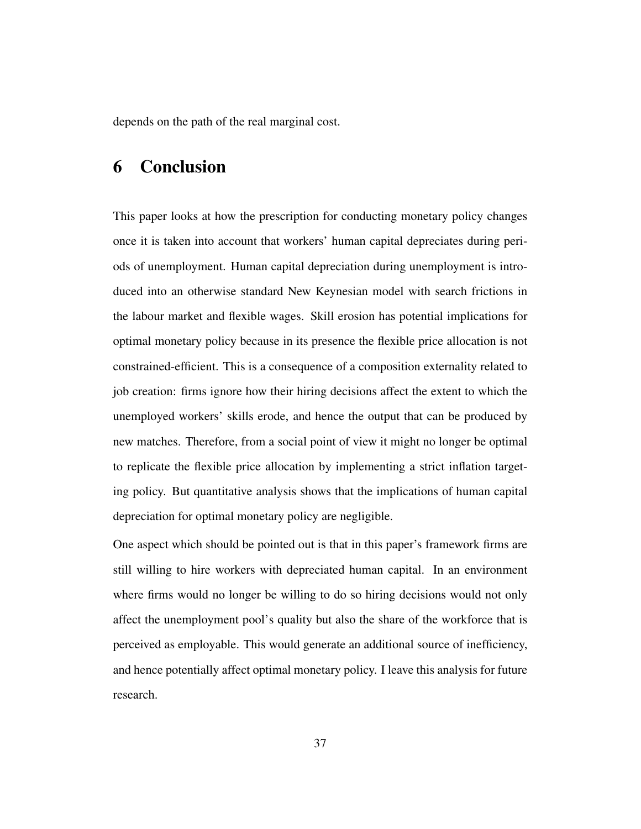depends on the path of the real marginal cost.

## 6 Conclusion

This paper looks at how the prescription for conducting monetary policy changes once it is taken into account that workers' human capital depreciates during periods of unemployment. Human capital depreciation during unemployment is introduced into an otherwise standard New Keynesian model with search frictions in the labour market and flexible wages. Skill erosion has potential implications for optimal monetary policy because in its presence the flexible price allocation is not constrained-efficient. This is a consequence of a composition externality related to job creation: firms ignore how their hiring decisions affect the extent to which the unemployed workers' skills erode, and hence the output that can be produced by new matches. Therefore, from a social point of view it might no longer be optimal to replicate the flexible price allocation by implementing a strict inflation targeting policy. But quantitative analysis shows that the implications of human capital depreciation for optimal monetary policy are negligible.

One aspect which should be pointed out is that in this paper's framework firms are still willing to hire workers with depreciated human capital. In an environment where firms would no longer be willing to do so hiring decisions would not only affect the unemployment pool's quality but also the share of the workforce that is perceived as employable. This would generate an additional source of inefficiency, and hence potentially affect optimal monetary policy. I leave this analysis for future research.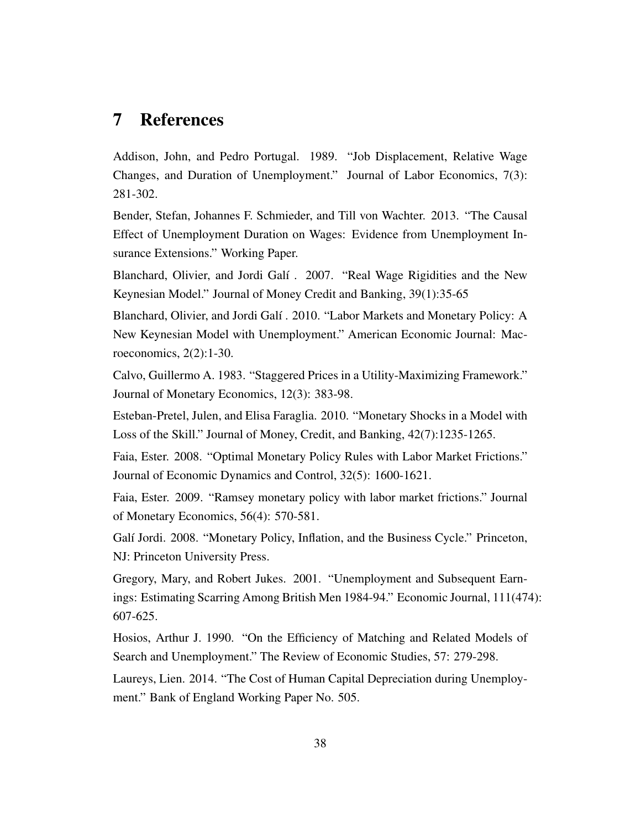## 7 References

Addison, John, and Pedro Portugal. 1989. "Job Displacement, Relative Wage Changes, and Duration of Unemployment." Journal of Labor Economics, 7(3): 281-302.

Bender, Stefan, Johannes F. Schmieder, and Till von Wachter. 2013. "The Causal Effect of Unemployment Duration on Wages: Evidence from Unemployment Insurance Extensions." Working Paper.

Blanchard, Olivier, and Jordi Galí . 2007. "Real Wage Rigidities and the New Keynesian Model." Journal of Money Credit and Banking, 39(1):35-65

Blanchard, Olivier, and Jordi Galí . 2010. "Labor Markets and Monetary Policy: A New Keynesian Model with Unemployment." American Economic Journal: Macroeconomics, 2(2):1-30.

Calvo, Guillermo A. 1983. "Staggered Prices in a Utility-Maximizing Framework." Journal of Monetary Economics, 12(3): 383-98.

Esteban-Pretel, Julen, and Elisa Faraglia. 2010. "Monetary Shocks in a Model with Loss of the Skill." Journal of Money, Credit, and Banking, 42(7):1235-1265.

Faia, Ester. 2008. "Optimal Monetary Policy Rules with Labor Market Frictions." Journal of Economic Dynamics and Control, 32(5): 1600-1621.

Faia, Ester. 2009. "Ramsey monetary policy with labor market frictions." Journal of Monetary Economics, 56(4): 570-581.

Galí Jordi. 2008. "Monetary Policy, Inflation, and the Business Cycle." Princeton, NJ: Princeton University Press.

Gregory, Mary, and Robert Jukes. 2001. "Unemployment and Subsequent Earnings: Estimating Scarring Among British Men 1984-94." Economic Journal, 111(474): 607-625.

Hosios, Arthur J. 1990. "On the Efficiency of Matching and Related Models of Search and Unemployment." The Review of Economic Studies, 57: 279-298.

Laureys, Lien. 2014. "The Cost of Human Capital Depreciation during Unemployment." Bank of England Working Paper No. 505.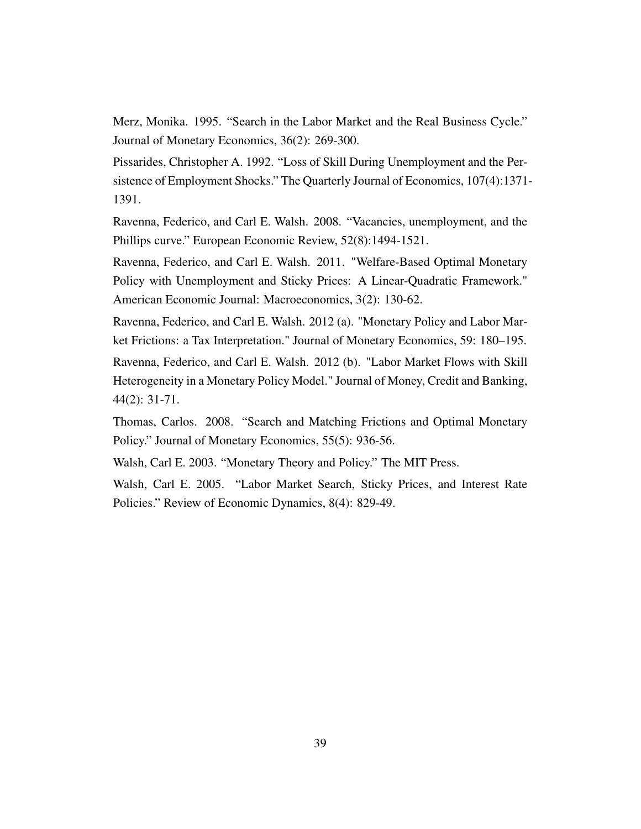Merz, Monika. 1995. "Search in the Labor Market and the Real Business Cycle." Journal of Monetary Economics, 36(2): 269-300.

Pissarides, Christopher A. 1992. "Loss of Skill During Unemployment and the Persistence of Employment Shocks." The Quarterly Journal of Economics, 107(4):1371- 1391.

Ravenna, Federico, and Carl E. Walsh. 2008. "Vacancies, unemployment, and the Phillips curve." European Economic Review, 52(8):1494-1521.

Ravenna, Federico, and Carl E. Walsh. 2011. "Welfare-Based Optimal Monetary Policy with Unemployment and Sticky Prices: A Linear-Quadratic Framework." American Economic Journal: Macroeconomics, 3(2): 130-62.

Ravenna, Federico, and Carl E. Walsh. 2012 (a). "Monetary Policy and Labor Market Frictions: a Tax Interpretation." Journal of Monetary Economics, 59: 180–195.

Ravenna, Federico, and Carl E. Walsh. 2012 (b). "Labor Market Flows with Skill Heterogeneity in a Monetary Policy Model." Journal of Money, Credit and Banking, 44(2): 31-71.

Thomas, Carlos. 2008. "Search and Matching Frictions and Optimal Monetary Policy." Journal of Monetary Economics, 55(5): 936-56.

Walsh, Carl E. 2003. "Monetary Theory and Policy." The MIT Press.

Walsh, Carl E. 2005. "Labor Market Search, Sticky Prices, and Interest Rate Policies." Review of Economic Dynamics, 8(4): 829-49.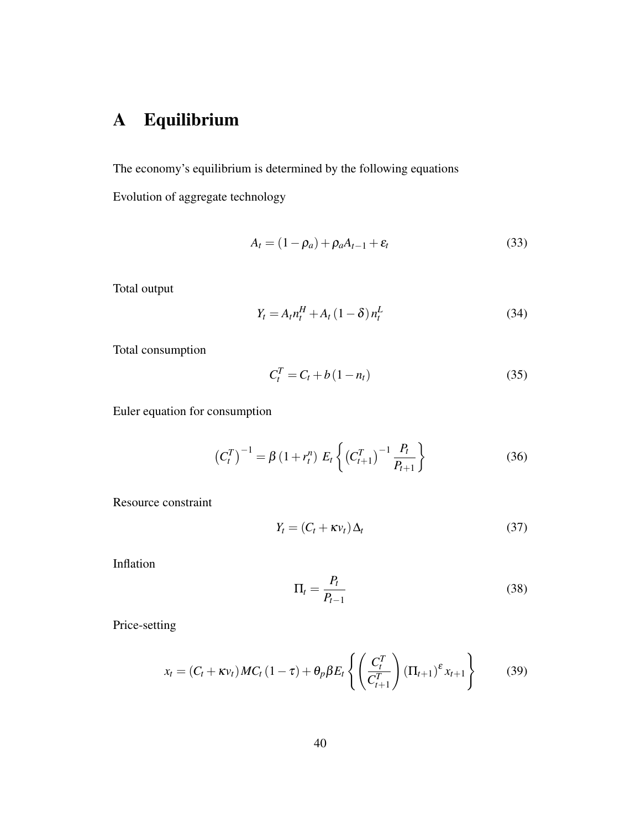# A Equilibrium

The economy's equilibrium is determined by the following equations

Evolution of aggregate technology

$$
A_t = (1 - \rho_a) + \rho_a A_{t-1} + \varepsilon_t \tag{33}
$$

Total output

$$
Y_t = A_t n_t^H + A_t (1 - \delta) n_t^L
$$
\n(34)

Total consumption

$$
C_t^T = C_t + b(1 - n_t) \tag{35}
$$

Euler equation for consumption

$$
\left(C_t^T\right)^{-1} = \beta \left(1 + r_t^n\right) E_t \left\{ \left(C_{t+1}^T\right)^{-1} \frac{P_t}{P_{t+1}} \right\} \tag{36}
$$

Resource constraint

$$
Y_t = (C_t + \kappa v_t) \Delta_t \tag{37}
$$

Inflation

$$
\Pi_t = \frac{P_t}{P_{t-1}}\tag{38}
$$

Price-setting

$$
x_t = (C_t + \kappa v_t) MC_t (1 - \tau) + \theta_p \beta E_t \left\{ \left( \frac{C_t^T}{C_{t+1}^T} \right) (\Pi_{t+1})^{\varepsilon} x_{t+1} \right\}
$$
(39)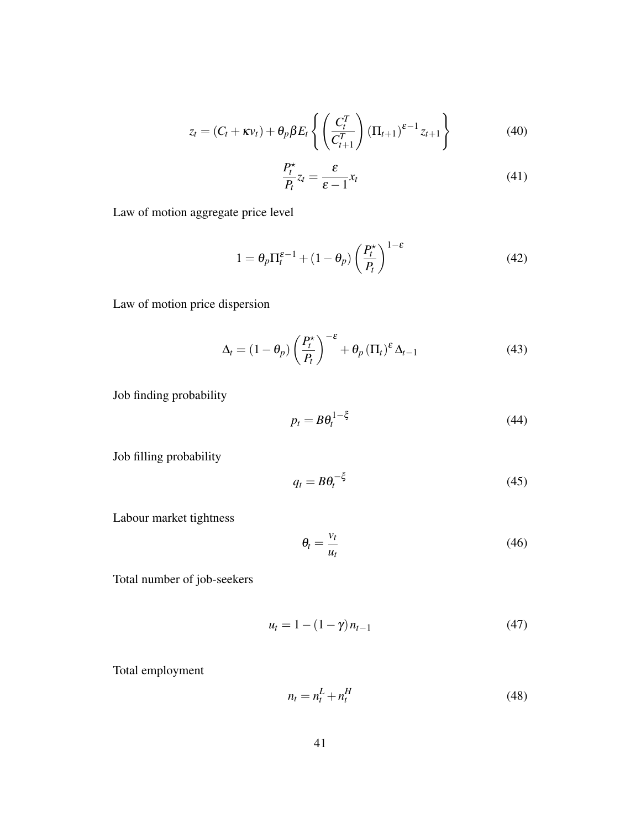$$
z_t = (C_t + \kappa v_t) + \theta_p \beta E_t \left\{ \left( \frac{C_t^T}{C_{t+1}^T} \right) (\Pi_{t+1})^{\varepsilon - 1} z_{t+1} \right\}
$$
(40)

$$
\frac{P_t^*}{P_t} z_t = \frac{\varepsilon}{\varepsilon - 1} x_t \tag{41}
$$

Law of motion aggregate price level

$$
1 = \theta_p \Pi_t^{\varepsilon - 1} + (1 - \theta_p) \left(\frac{P_t^{\star}}{P_t}\right)^{1 - \varepsilon} \tag{42}
$$

Law of motion price dispersion

$$
\Delta_t = (1 - \theta_p) \left(\frac{P_t^{\star}}{P_t}\right)^{-\epsilon} + \theta_p \left(\Pi_t\right)^{\epsilon} \Delta_{t-1}
$$
\n(43)

Job finding probability

$$
p_t = B\theta_t^{1-\xi} \tag{44}
$$

Job filling probability

$$
q_t = B\theta_t^{-\xi} \tag{45}
$$

Labour market tightness

$$
\theta_t = \frac{v_t}{u_t} \tag{46}
$$

Total number of job-seekers

$$
u_t = 1 - (1 - \gamma) n_{t-1}
$$
 (47)

Total employment

$$
n_t = n_t^L + n_t^H \tag{48}
$$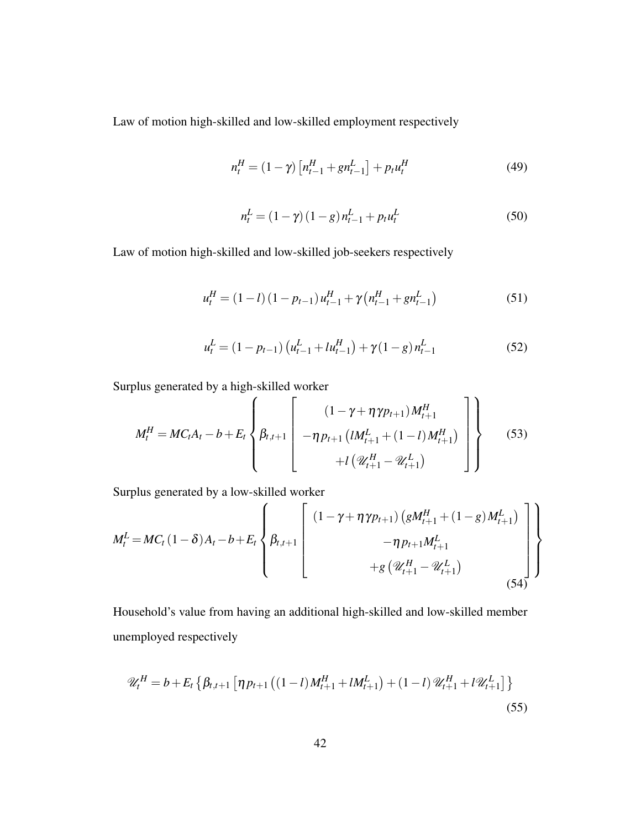Law of motion high-skilled and low-skilled employment respectively

$$
n_t^H = (1 - \gamma) \left[ n_{t-1}^H + g n_{t-1}^L \right] + p_t u_t^H \tag{49}
$$

$$
n_t^L = (1 - \gamma) (1 - g) n_{t-1}^L + p_t u_t^L
$$
\n(50)

Law of motion high-skilled and low-skilled job-seekers respectively

$$
u_t^H = (1 - l) (1 - p_{t-1}) u_{t-1}^H + \gamma (n_{t-1}^H + g n_{t-1}^L)
$$
 (51)

$$
u_t^L = (1 - p_{t-1}) \left( u_{t-1}^L + l u_{t-1}^H \right) + \gamma (1 - g) n_{t-1}^L \tag{52}
$$

Surplus generated by a high-skilled worker

$$
M_t^H = MC_tA_t - b + E_t \left\{\beta_{t,t+1} \begin{bmatrix} (1 - \gamma + \eta \gamma p_{t+1})M_{t+1}^H \\ -\eta p_{t+1} (lM_{t+1}^L + (1 - l)M_{t+1}^H) \\ + l(\mathcal{U}_{t+1}^H - \mathcal{U}_{t+1}^L) \end{bmatrix} \right\}
$$
(53)

Surplus generated by a low-skilled worker

$$
M_t^L = MC_t (1 - \delta) A_t - b + E_t \left\{ \beta_{t,t+1} \begin{bmatrix} (1 - \gamma + \eta \gamma p_{t+1}) \left( gM_{t+1}^H + (1 - g)M_{t+1}^L \right) \\ - \eta p_{t+1}M_{t+1}^L \\ + g \left( \mathcal{U}_{t+1}^H - \mathcal{U}_{t+1}^L \right) \end{bmatrix} \right\}
$$
(54)

Household's value from having an additional high-skilled and low-skilled member unemployed respectively

$$
\mathcal{U}_{t}^{H} = b + E_{t} \left\{ \beta_{t,t+1} \left[ \eta p_{t+1} \left( (1-l) M_{t+1}^{H} + l M_{t+1}^{L} \right) + (1-l) \mathcal{U}_{t+1}^{H} + l \mathcal{U}_{t+1}^{L} \right] \right\}
$$
\n(55)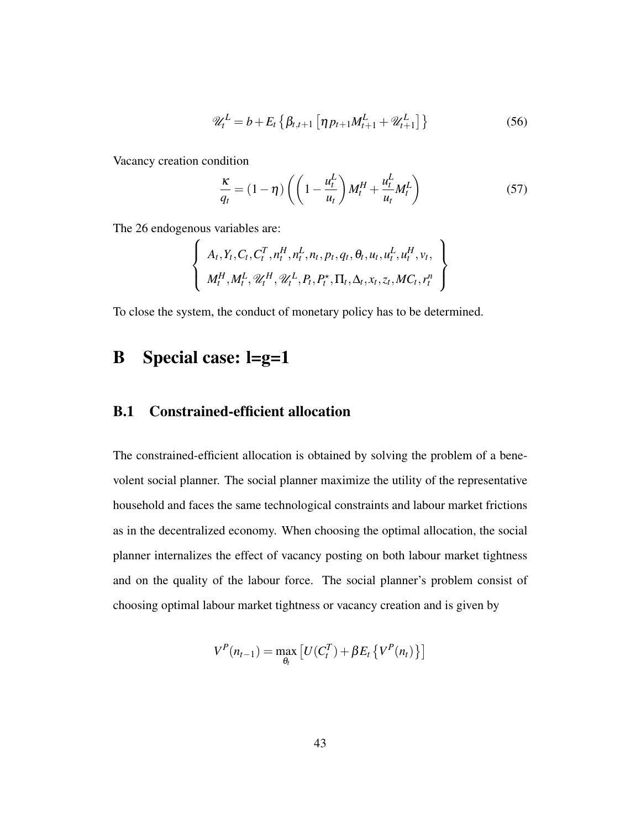$$
\mathscr{U}_t^L = b + E_t \left\{ \beta_{t,t+1} \left[ \eta p_{t+1} M_{t+1}^L + \mathscr{U}_{t+1}^L \right] \right\} \tag{56}
$$

Vacancy creation condition

$$
\frac{\kappa}{q_t} = (1 - \eta) \left( \left( 1 - \frac{u_t^L}{u_t} \right) M_t^H + \frac{u_t^L}{u_t} M_t^L \right) \tag{57}
$$

The 26 endogenous variables are:

$$
\left\{\n\begin{array}{c}\nA_t, Y_t, C_t, C_t^T, n_t^H, n_t^L, n_t, p_t, q_t, \theta_t, u_t, u_t^L, u_t^H, v_t, \\
M_t^H, M_t^L, \mathcal{U}_t^H, \mathcal{U}_t^L, P_t, P_t^{\star}, \Pi_t, \Delta_t, x_t, z_t, MC_t, r_t^n\n\end{array}\n\right\}
$$

To close the system, the conduct of monetary policy has to be determined.

# B Special case: l=g=1

#### B.1 Constrained-efficient allocation

The constrained-efficient allocation is obtained by solving the problem of a benevolent social planner. The social planner maximize the utility of the representative household and faces the same technological constraints and labour market frictions as in the decentralized economy. When choosing the optimal allocation, the social planner internalizes the effect of vacancy posting on both labour market tightness and on the quality of the labour force. The social planner's problem consist of choosing optimal labour market tightness or vacancy creation and is given by

$$
V^{P}(n_{t-1}) = \max_{\theta_{t}} \left[ U(C_{t}^{T}) + \beta E_{t} \left\{ V^{P}(n_{t}) \right\} \right]
$$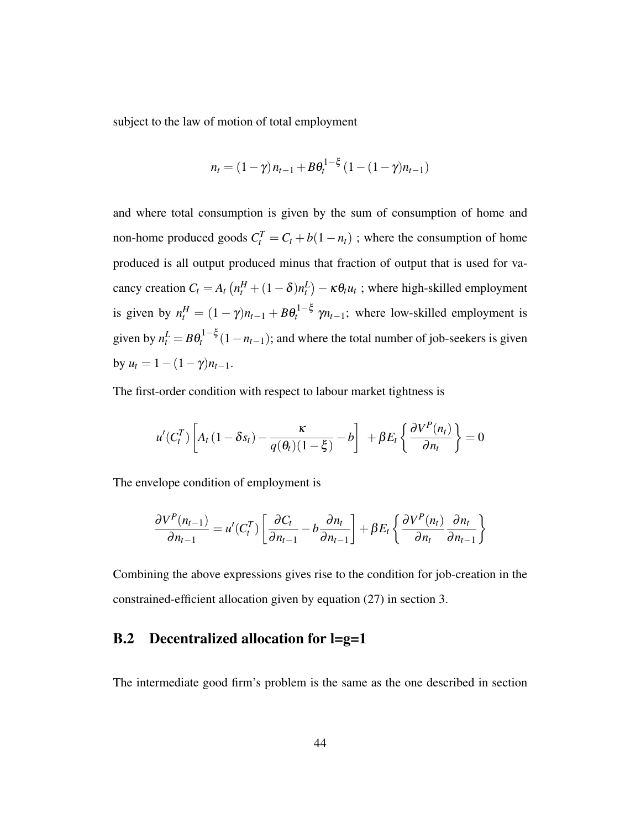subject to the law of motion of total employment

$$
n_t = (1 - \gamma) n_{t-1} + B \theta_t^{1-\xi} (1 - (1 - \gamma) n_{t-1})
$$

and where total consumption is given by the sum of consumption of home and non-home produced goods  $C_t^T = C_t + b(1 - n_t)$ ; where the consumption of home produced is all output produced minus that fraction of output that is used for vacancy creation  $C_t = A_t \left( n_t^H + (1 - \delta) n_t^L \right) - \kappa \theta_t u_t$ ; where high-skilled employment is given by  $n_t^H = (1 - \gamma)n_{t-1} + B\theta_t^{1-\xi}$   $\gamma n_{t-1}$ ; where low-skilled employment is given by  $n_t^L = B\theta_t^{1-\xi}(1-n_{t-1})$ ; and where the total number of job-seekers is given by  $u_t = 1 - (1 - \gamma)n_{t-1}$ .

The first-order condition with respect to labour market tightness is

$$
u'(C_t^T)\left[A_t(1-\delta s_t) - \frac{\kappa}{q(\theta_t)(1-\xi)} - b\right] + \beta E_t\left\{\frac{\partial V^P(n_t)}{\partial n_t}\right\} = 0
$$

The envelope condition of employment is

$$
\frac{\partial V^P(n_{t-1})}{\partial n_{t-1}} = u'(C_t^T) \left[ \frac{\partial C_t}{\partial n_{t-1}} - b \frac{\partial n_t}{\partial n_{t-1}} \right] + \beta E_t \left\{ \frac{\partial V^P(n_t)}{\partial n_t} \frac{\partial n_t}{\partial n_{t-1}} \right\}
$$

Combining the above expressions gives rise to the condition for job-creation in the constrained-efficient allocation given by equation (27) in section 3.

#### B.2 Decentralized allocation for l=g=1

The intermediate good firm's problem is the same as the one described in section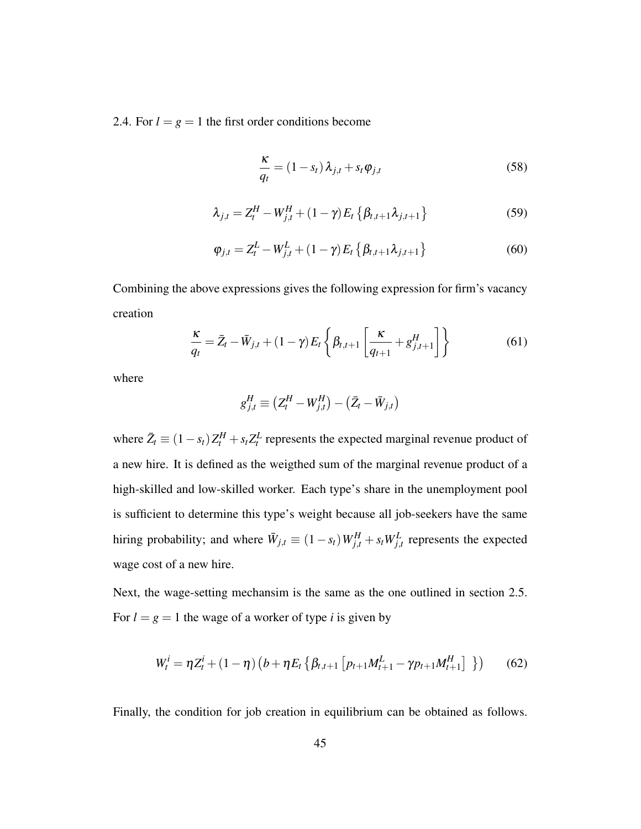2.4. For  $l = g = 1$  the first order conditions become

$$
\frac{\kappa}{q_t} = (1 - s_t) \lambda_{j,t} + s_t \varphi_{j,t}
$$
\n(58)

$$
\lambda_{j,t} = Z_t^H - W_{j,t}^H + (1 - \gamma) E_t \{ \beta_{t,t+1} \lambda_{j,t+1} \}
$$
 (59)

$$
\varphi_{j,t} = Z_t^L - W_{j,t}^L + (1 - \gamma) E_t \left\{ \beta_{t,t+1} \lambda_{j,t+1} \right\}
$$
 (60)

Combining the above expressions gives the following expression for firm's vacancy creation

$$
\frac{\kappa}{q_t} = \bar{Z}_t - \bar{W}_{j,t} + (1 - \gamma) E_t \left\{ \beta_{t,t+1} \left[ \frac{\kappa}{q_{t+1}} + g^H_{j,t+1} \right] \right\} \tag{61}
$$

where

$$
g_{j,t}^H \equiv (Z_t^H - W_{j,t}^H) - (\bar{Z}_t - \bar{W}_{j,t})
$$

where  $\bar{Z}_t \equiv (1 - s_t) Z_t^H + s_t Z_t^L$  represents the expected marginal revenue product of a new hire. It is defined as the weigthed sum of the marginal revenue product of a high-skilled and low-skilled worker. Each type's share in the unemployment pool is sufficient to determine this type's weight because all job-seekers have the same hiring probability; and where  $\bar{W}_{j,t} \equiv (1 - s_t) W_{j,t}^H + s_t W_{j,t}^L$  represents the expected wage cost of a new hire.

Next, the wage-setting mechansim is the same as the one outlined in section 2.5. For  $l = g = 1$  the wage of a worker of type *i* is given by

$$
W_t^i = \eta Z_t^i + (1 - \eta) \left( b + \eta E_t \left\{ \beta_{t,t+1} \left[ p_{t+1} M_{t+1}^L - \gamma p_{t+1} M_{t+1}^H \right] \right. \right) \right)
$$
 (62)

Finally, the condition for job creation in equilibrium can be obtained as follows.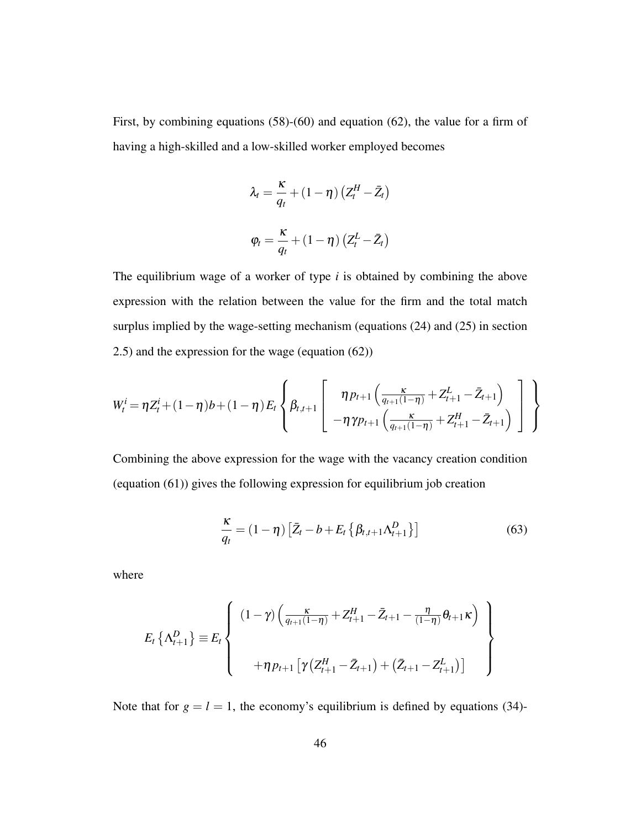First, by combining equations (58)-(60) and equation (62), the value for a firm of having a high-skilled and a low-skilled worker employed becomes

$$
\lambda_t = \frac{\kappa}{q_t} + (1 - \eta) (Z_t^H - \bar{Z}_t)
$$

$$
\varphi_t = \frac{\kappa}{q_t} + (1 - \eta) (Z_t^L - \bar{Z}_t)
$$

The equilibrium wage of a worker of type *i* is obtained by combining the above expression with the relation between the value for the firm and the total match surplus implied by the wage-setting mechanism (equations (24) and (25) in section 2.5) and the expression for the wage (equation (62))

$$
W_t^i = \eta Z_t^i + (1 - \eta) b + (1 - \eta) E_t \left\{ \beta_{t,t+1} \left[ \frac{\eta p_{t+1} \left( \frac{\kappa}{q_{t+1}(1-\eta)} + Z_{t+1}^L - \bar{Z}_{t+1} \right)}{-\eta \gamma p_{t+1} \left( \frac{\kappa}{q_{t+1}(1-\eta)} + Z_{t+1}^H - \bar{Z}_{t+1} \right)} \right] \right\}
$$

Combining the above expression for the wage with the vacancy creation condition (equation (61)) gives the following expression for equilibrium job creation

$$
\frac{\kappa}{q_t} = (1 - \eta) \left[ \bar{Z}_t - b + E_t \left\{ \beta_{t,t+1} \Lambda_{t+1}^D \right\} \right] \tag{63}
$$

where

$$
E_{t} \left\{ \Lambda_{t+1}^{D} \right\} \equiv E_{t} \left\{ \begin{array}{c} (1 - \gamma) \left( \frac{\kappa}{q_{t+1}(1 - \eta)} + Z_{t+1}^{H} - \bar{Z}_{t+1} - \frac{\eta}{(1 - \eta)} \theta_{t+1} \kappa \right) \\ \\ + \eta p_{t+1} \left[ \gamma \left( Z_{t+1}^{H} - \bar{Z}_{t+1} \right) + \left( \bar{Z}_{t+1} - Z_{t+1}^{L} \right) \right] \end{array} \right\}
$$

Note that for  $g = l = 1$ , the economy's equilibrium is defined by equations (34)-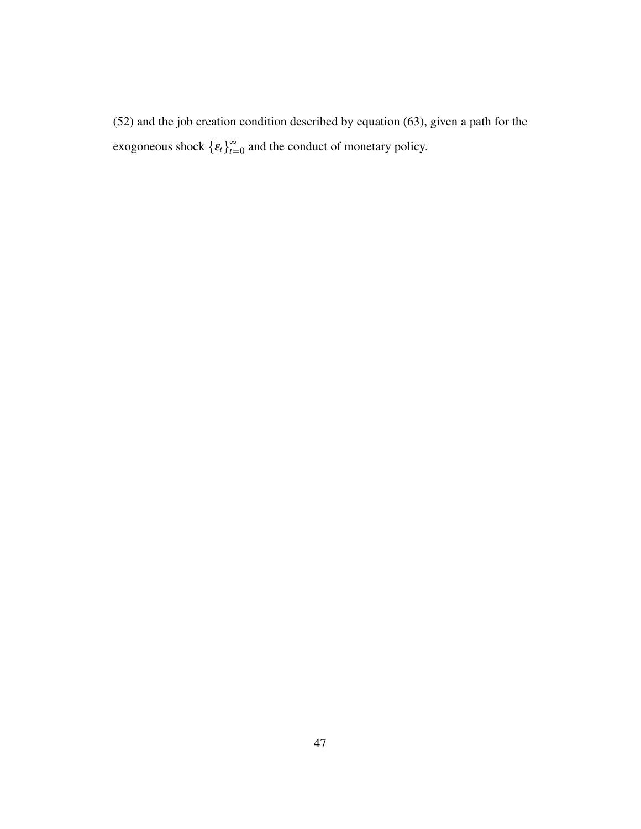(52) and the job creation condition described by equation (63), given a path for the exogoneous shock  $\{\varepsilon_t\}_{t=1}^{\infty}$  $\sum_{t=0}^{\infty}$  and the conduct of monetary policy.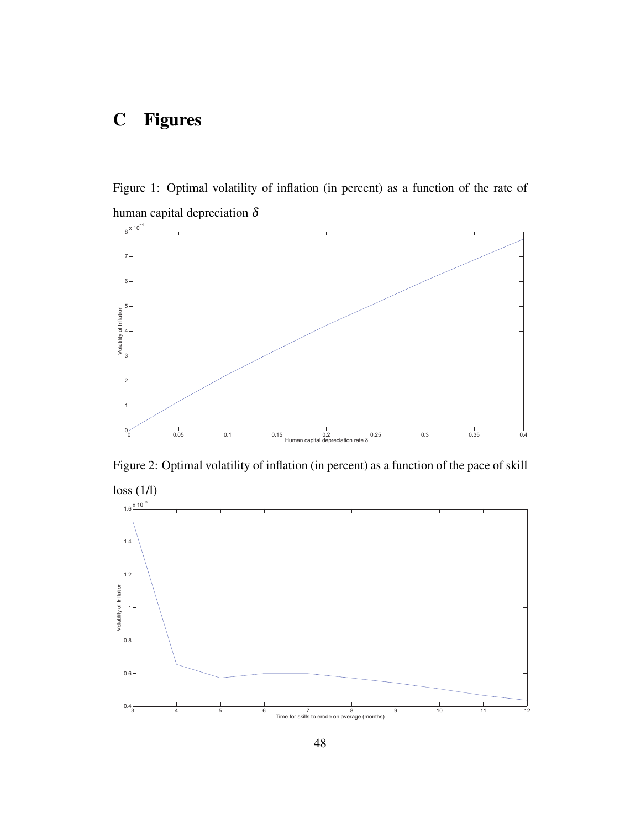# C Figures

Figure 1: Optimal volatility of inflation (in percent) as a function of the rate of human capital depreciation  $\delta$ 



Figure 2: Optimal volatility of inflation (in percent) as a function of the pace of skill

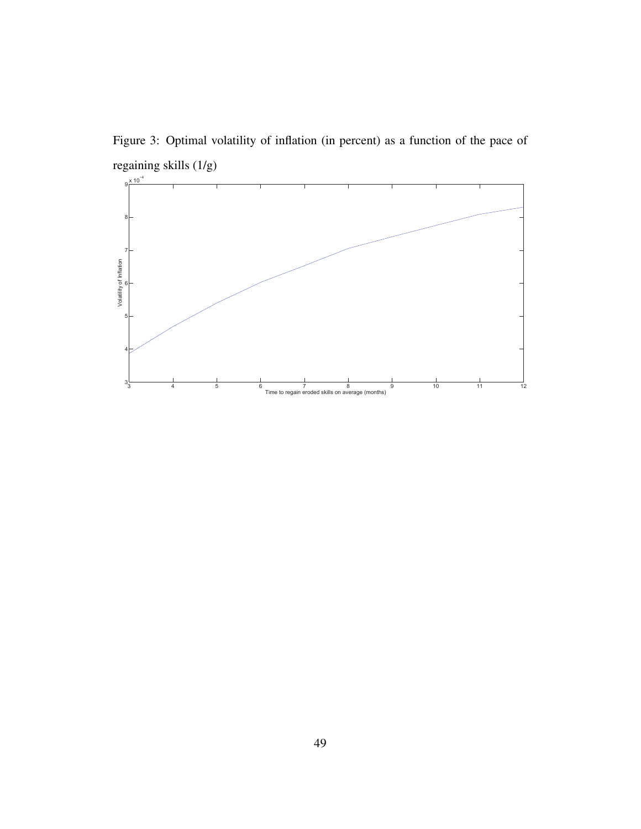Figure 3: Optimal volatility of inflation (in percent) as a function of the pace of regaining skills (1/g)

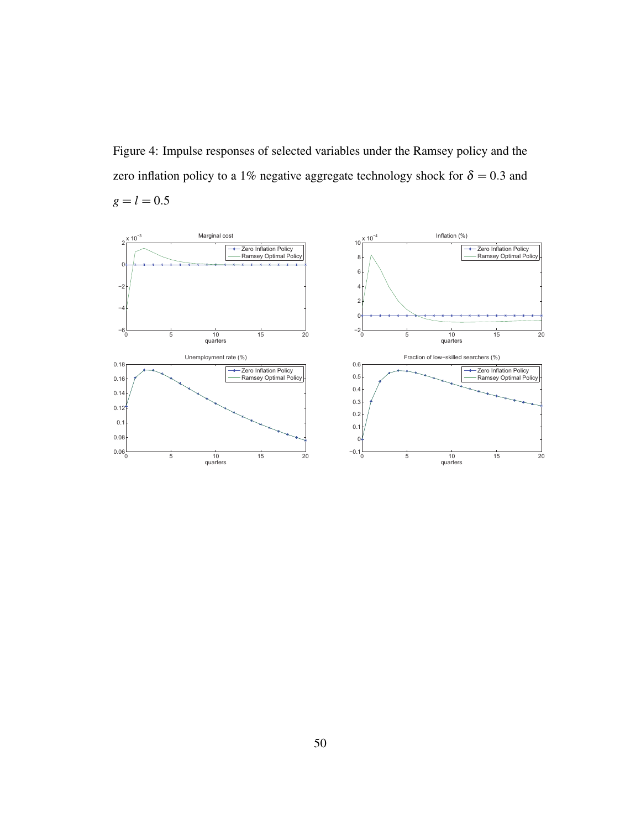Figure 4: Impulse responses of selected variables under the Ramsey policy and the zero inflation policy to a 1% negative aggregate technology shock for  $\delta = 0.3$  and  $g = l = 0.5$ 

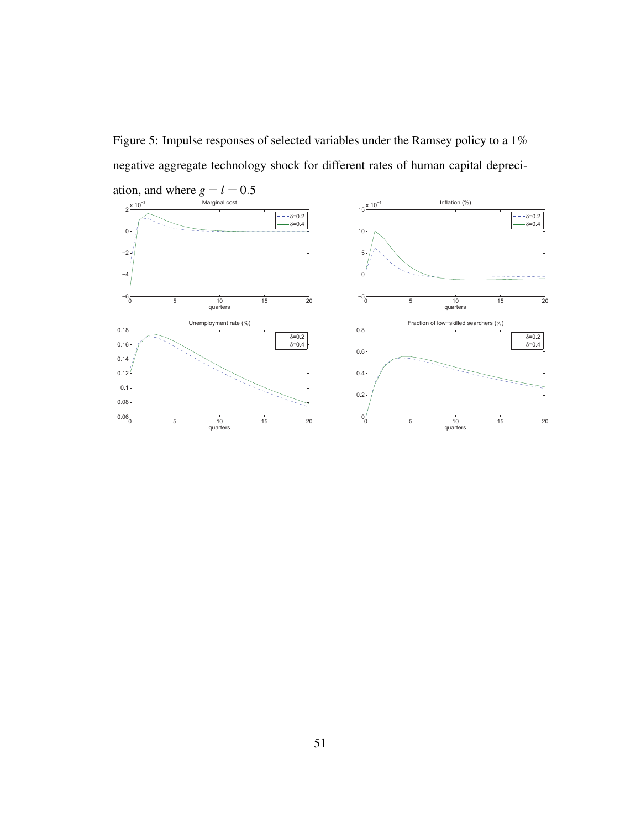Figure 5: Impulse responses of selected variables under the Ramsey policy to a 1% negative aggregate technology shock for different rates of human capital depreci-

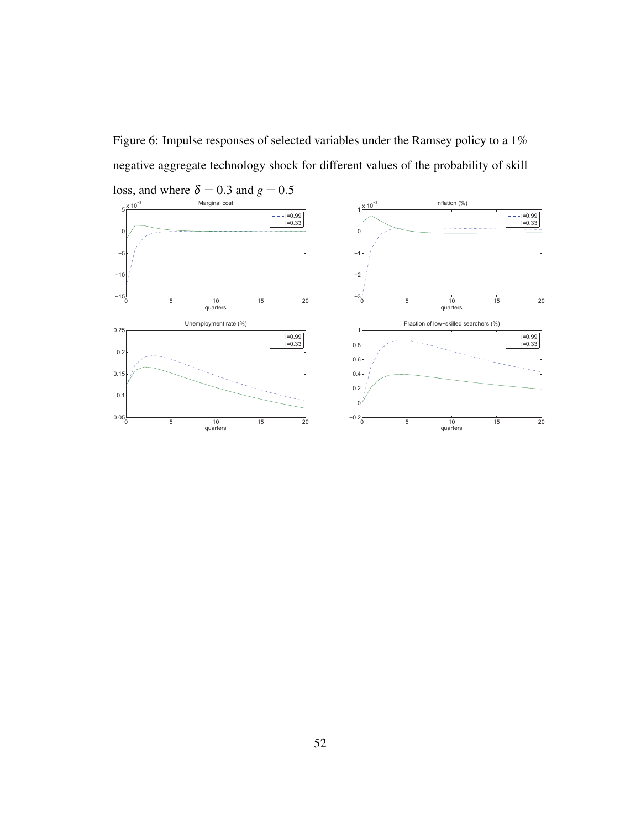Figure 6: Impulse responses of selected variables under the Ramsey policy to a 1% negative aggregate technology shock for different values of the probability of skill